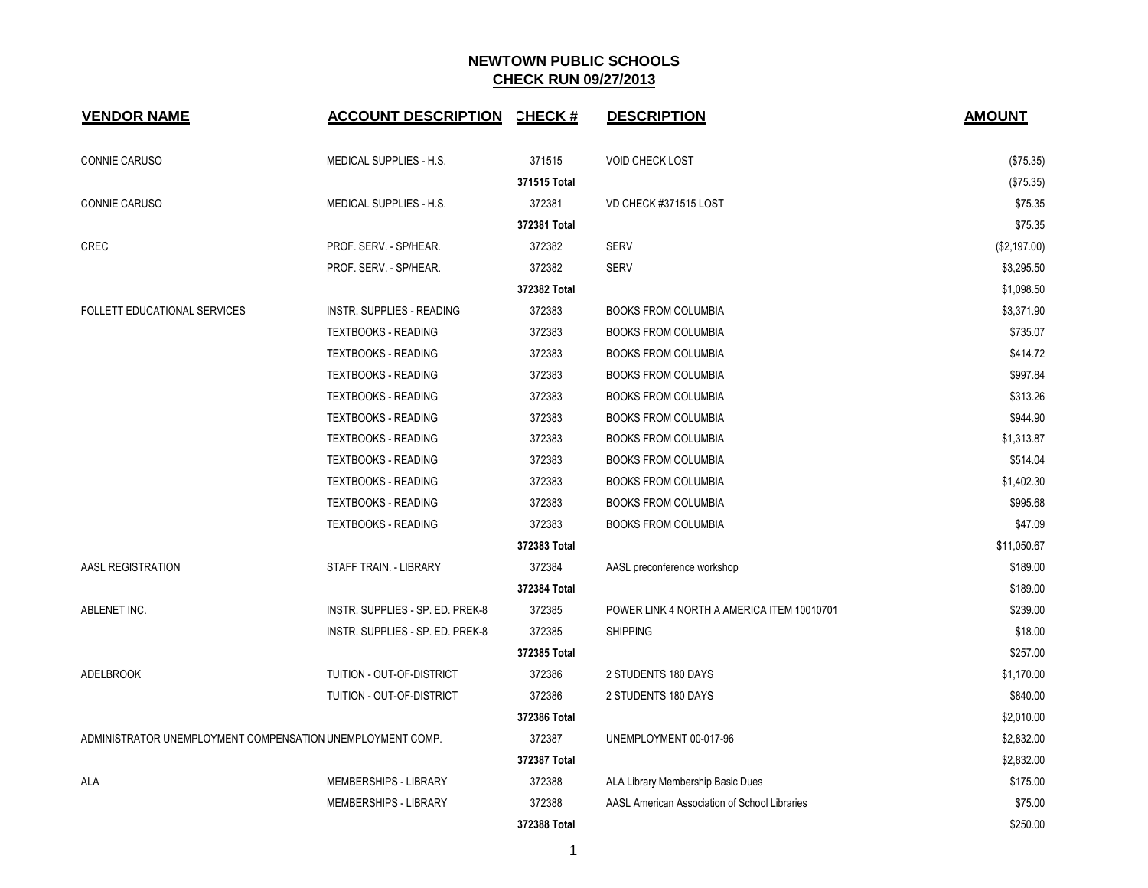| <b>VENDOR NAME</b>                                         | <b>ACCOUNT DESCRIPTION</b>       | <b>CHECK#</b> | <b>DESCRIPTION</b>                            | <b>AMOUNT</b> |
|------------------------------------------------------------|----------------------------------|---------------|-----------------------------------------------|---------------|
| CONNIE CARUSO                                              | MEDICAL SUPPLIES - H.S.          | 371515        | <b>VOID CHECK LOST</b>                        | (\$75.35)     |
|                                                            |                                  | 371515 Total  |                                               | (\$75.35)     |
| CONNIE CARUSO                                              | MEDICAL SUPPLIES - H.S.          | 372381        | VD CHECK #371515 LOST                         | \$75.35       |
|                                                            |                                  | 372381 Total  |                                               | \$75.35       |
| <b>CREC</b>                                                | PROF. SERV. - SP/HEAR.           | 372382        | <b>SERV</b>                                   | (\$2,197.00)  |
|                                                            | PROF. SERV. - SP/HEAR.           | 372382        | <b>SERV</b>                                   | \$3,295.50    |
|                                                            |                                  | 372382 Total  |                                               | \$1,098.50    |
| FOLLETT EDUCATIONAL SERVICES                               | INSTR. SUPPLIES - READING        | 372383        | <b>BOOKS FROM COLUMBIA</b>                    | \$3,371.90    |
|                                                            | <b>TEXTBOOKS - READING</b>       | 372383        | <b>BOOKS FROM COLUMBIA</b>                    | \$735.07      |
|                                                            | <b>TEXTBOOKS - READING</b>       | 372383        | <b>BOOKS FROM COLUMBIA</b>                    | \$414.72      |
|                                                            | <b>TEXTBOOKS - READING</b>       | 372383        | <b>BOOKS FROM COLUMBIA</b>                    | \$997.84      |
|                                                            | <b>TEXTBOOKS - READING</b>       | 372383        | <b>BOOKS FROM COLUMBIA</b>                    | \$313.26      |
|                                                            | <b>TEXTBOOKS - READING</b>       | 372383        | <b>BOOKS FROM COLUMBIA</b>                    | \$944.90      |
|                                                            | <b>TEXTBOOKS - READING</b>       | 372383        | <b>BOOKS FROM COLUMBIA</b>                    | \$1,313.87    |
|                                                            | <b>TEXTBOOKS - READING</b>       | 372383        | <b>BOOKS FROM COLUMBIA</b>                    | \$514.04      |
|                                                            | <b>TEXTBOOKS - READING</b>       | 372383        | <b>BOOKS FROM COLUMBIA</b>                    | \$1,402.30    |
|                                                            | <b>TEXTBOOKS - READING</b>       | 372383        | <b>BOOKS FROM COLUMBIA</b>                    | \$995.68      |
|                                                            | <b>TEXTBOOKS - READING</b>       | 372383        | <b>BOOKS FROM COLUMBIA</b>                    | \$47.09       |
|                                                            |                                  | 372383 Total  |                                               | \$11,050.67   |
| AASL REGISTRATION                                          | STAFF TRAIN. - LIBRARY           | 372384        | AASL preconference workshop                   | \$189.00      |
|                                                            |                                  | 372384 Total  |                                               | \$189.00      |
| ABLENET INC.                                               | INSTR. SUPPLIES - SP. ED. PREK-8 | 372385        | POWER LINK 4 NORTH A AMERICA ITEM 10010701    | \$239.00      |
|                                                            | INSTR. SUPPLIES - SP. ED. PREK-8 | 372385        | <b>SHIPPING</b>                               | \$18.00       |
|                                                            |                                  | 372385 Total  |                                               | \$257.00      |
| <b>ADELBROOK</b>                                           | TUITION - OUT-OF-DISTRICT        | 372386        | 2 STUDENTS 180 DAYS                           | \$1,170.00    |
|                                                            | TUITION - OUT-OF-DISTRICT        | 372386        | 2 STUDENTS 180 DAYS                           | \$840.00      |
|                                                            |                                  | 372386 Total  |                                               | \$2,010.00    |
| ADMINISTRATOR UNEMPLOYMENT COMPENSATION UNEMPLOYMENT COMP. |                                  | 372387        | UNEMPLOYMENT 00-017-96                        | \$2,832.00    |
|                                                            |                                  | 372387 Total  |                                               | \$2,832.00    |
| ALA                                                        | MEMBERSHIPS - LIBRARY            | 372388        | ALA Library Membership Basic Dues             | \$175.00      |
|                                                            | MEMBERSHIPS - LIBRARY            | 372388        | AASL American Association of School Libraries | \$75.00       |
|                                                            |                                  | 372388 Total  |                                               | \$250.00      |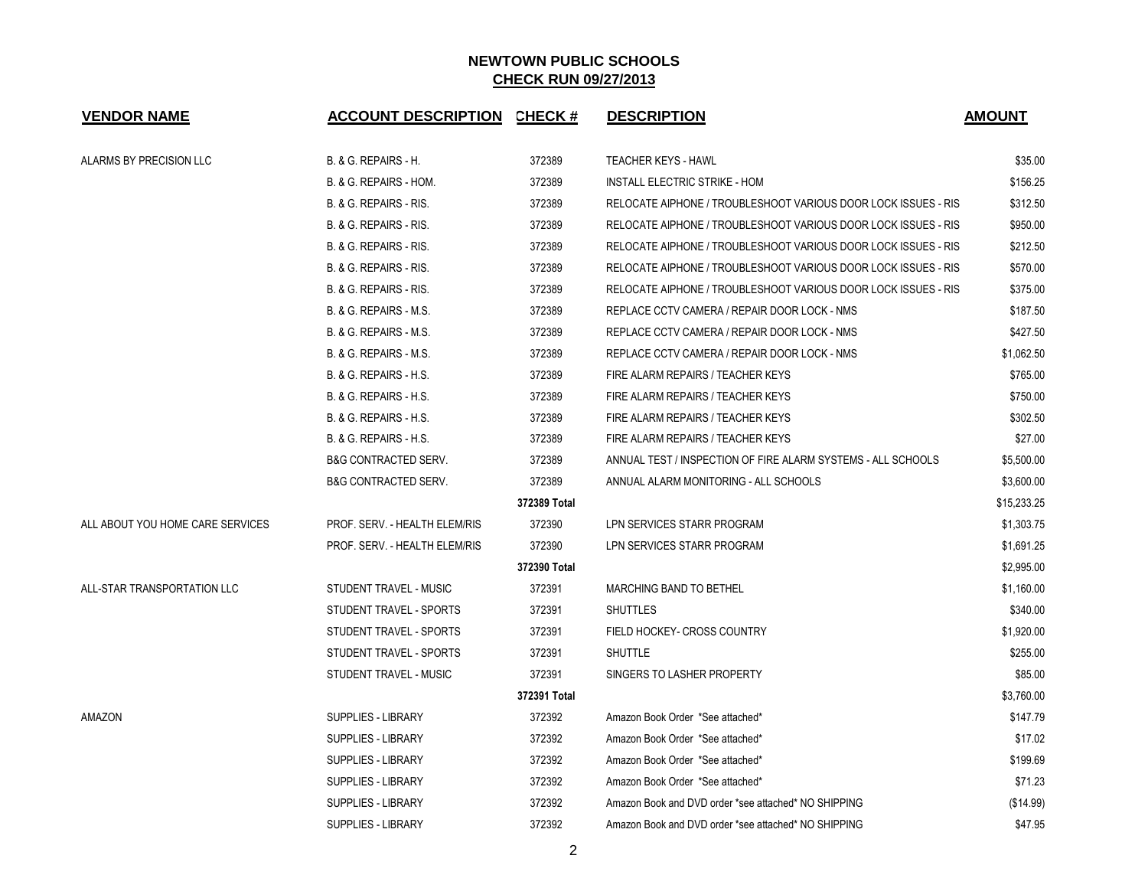| <b>VENDOR NAME</b>               | <b>ACCOUNT DESCRIPTION CHECK #</b> |              | <b>DESCRIPTION</b>                                             | <b>AMOUNT</b> |
|----------------------------------|------------------------------------|--------------|----------------------------------------------------------------|---------------|
| ALARMS BY PRECISION LLC          | <b>B. &amp; G. REPAIRS - H.</b>    | 372389       | <b>TEACHER KEYS - HAWL</b>                                     | \$35.00       |
|                                  | B. & G. REPAIRS - HOM.             | 372389       | INSTALL ELECTRIC STRIKE - HOM                                  | \$156.25      |
|                                  | B. & G. REPAIRS - RIS.             | 372389       | RELOCATE AIPHONE / TROUBLESHOOT VARIOUS DOOR LOCK ISSUES - RIS | \$312.50      |
|                                  | B. & G. REPAIRS - RIS.             | 372389       | RELOCATE AIPHONE / TROUBLESHOOT VARIOUS DOOR LOCK ISSUES - RIS | \$950.00      |
|                                  | B. & G. REPAIRS - RIS.             | 372389       | RELOCATE AIPHONE / TROUBLESHOOT VARIOUS DOOR LOCK ISSUES - RIS | \$212.50      |
|                                  | B. & G. REPAIRS - RIS.             | 372389       | RELOCATE AIPHONE / TROUBLESHOOT VARIOUS DOOR LOCK ISSUES - RIS | \$570.00      |
|                                  | B. & G. REPAIRS - RIS.             | 372389       | RELOCATE AIPHONE / TROUBLESHOOT VARIOUS DOOR LOCK ISSUES - RIS | \$375.00      |
|                                  | B. & G. REPAIRS - M.S.             | 372389       | REPLACE CCTV CAMERA / REPAIR DOOR LOCK - NMS                   | \$187.50      |
|                                  | B. & G. REPAIRS - M.S.             | 372389       | REPLACE CCTV CAMERA / REPAIR DOOR LOCK - NMS                   | \$427.50      |
|                                  | B. & G. REPAIRS - M.S.             | 372389       | REPLACE CCTV CAMERA / REPAIR DOOR LOCK - NMS                   | \$1,062.50    |
|                                  | <b>B. &amp; G. REPAIRS - H.S.</b>  | 372389       | FIRE ALARM REPAIRS / TEACHER KEYS                              | \$765.00      |
|                                  | <b>B. &amp; G. REPAIRS - H.S.</b>  | 372389       | FIRE ALARM REPAIRS / TEACHER KEYS                              | \$750.00      |
|                                  | B. & G. REPAIRS - H.S.             | 372389       | FIRE ALARM REPAIRS / TEACHER KEYS                              | \$302.50      |
|                                  | <b>B. &amp; G. REPAIRS - H.S.</b>  | 372389       | FIRE ALARM REPAIRS / TEACHER KEYS                              | \$27.00       |
|                                  | <b>B&amp;G CONTRACTED SERV.</b>    | 372389       | ANNUAL TEST / INSPECTION OF FIRE ALARM SYSTEMS - ALL SCHOOLS   | \$5,500.00    |
|                                  | <b>B&amp;G CONTRACTED SERV.</b>    | 372389       | ANNUAL ALARM MONITORING - ALL SCHOOLS                          | \$3,600.00    |
|                                  |                                    | 372389 Total |                                                                | \$15,233.25   |
| ALL ABOUT YOU HOME CARE SERVICES | PROF. SERV. - HEALTH ELEM/RIS      | 372390       | LPN SERVICES STARR PROGRAM                                     | \$1,303.75    |
|                                  | PROF. SERV. - HEALTH ELEM/RIS      | 372390       | LPN SERVICES STARR PROGRAM                                     | \$1,691.25    |
|                                  |                                    | 372390 Total |                                                                | \$2,995.00    |
| ALL-STAR TRANSPORTATION LLC      | STUDENT TRAVEL - MUSIC             | 372391       | MARCHING BAND TO BETHEL                                        | \$1,160.00    |
|                                  | STUDENT TRAVEL - SPORTS            | 372391       | <b>SHUTTLES</b>                                                | \$340.00      |
|                                  | STUDENT TRAVEL - SPORTS            | 372391       | FIELD HOCKEY- CROSS COUNTRY                                    | \$1,920.00    |
|                                  | STUDENT TRAVEL - SPORTS            | 372391       | <b>SHUTTLE</b>                                                 | \$255.00      |
|                                  | STUDENT TRAVEL - MUSIC             | 372391       | SINGERS TO LASHER PROPERTY                                     | \$85.00       |
|                                  |                                    | 372391 Total |                                                                | \$3,760.00    |
| AMAZON                           | <b>SUPPLIES - LIBRARY</b>          | 372392       | Amazon Book Order *See attached*                               | \$147.79      |
|                                  | <b>SUPPLIES - LIBRARY</b>          | 372392       | Amazon Book Order *See attached*                               | \$17.02       |
|                                  | SUPPLIES - LIBRARY                 | 372392       | Amazon Book Order *See attached*                               | \$199.69      |
|                                  | <b>SUPPLIES - LIBRARY</b>          | 372392       | Amazon Book Order *See attached*                               | \$71.23       |
|                                  | <b>SUPPLIES - LIBRARY</b>          | 372392       | Amazon Book and DVD order *see attached* NO SHIPPING           | (\$14.99)     |
|                                  | <b>SUPPLIES - LIBRARY</b>          | 372392       | Amazon Book and DVD order *see attached* NO SHIPPING           | \$47.95       |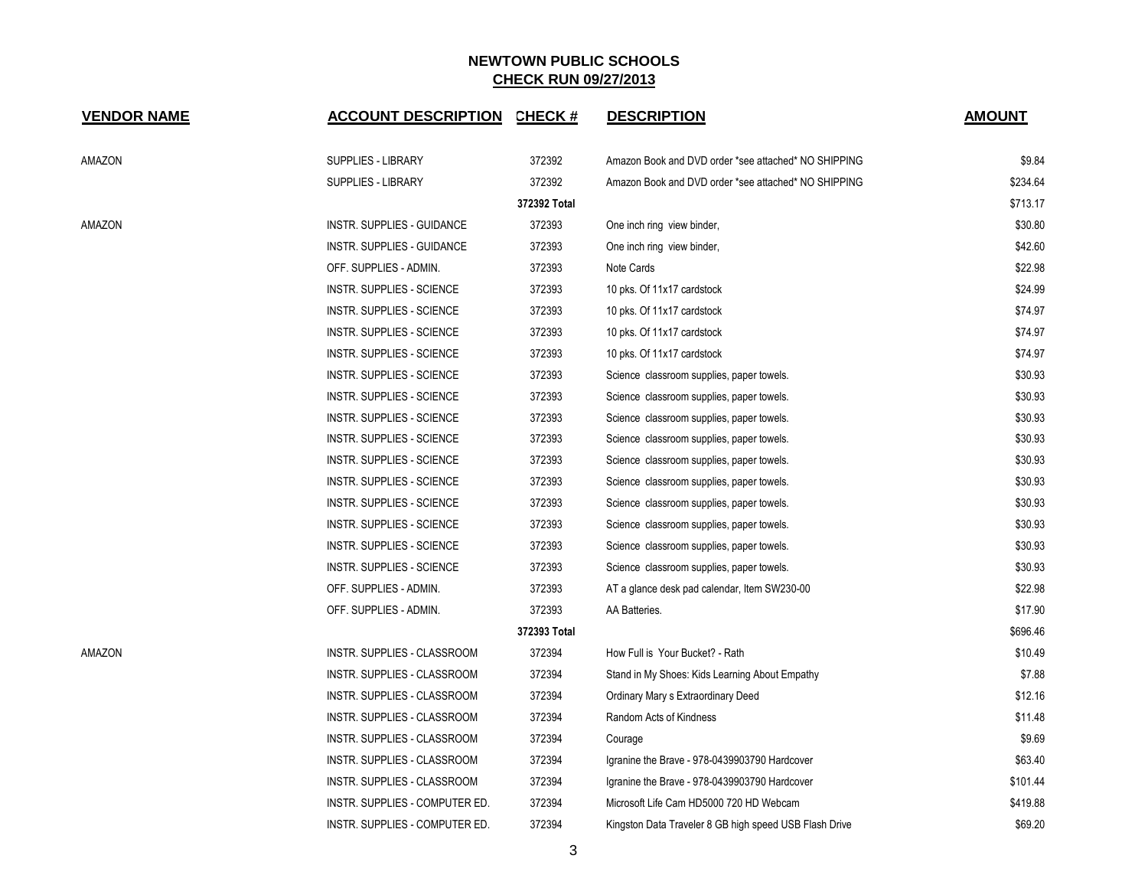| <b>VENDOR NAME</b> | <b>ACCOUNT DESCRIPTION CHECK #</b> |              | <b>DESCRIPTION</b>                                     | <b>AMOUNT</b> |
|--------------------|------------------------------------|--------------|--------------------------------------------------------|---------------|
| AMAZON             | <b>SUPPLIES - LIBRARY</b>          | 372392       | Amazon Book and DVD order *see attached* NO SHIPPING   | \$9.84        |
|                    | <b>SUPPLIES - LIBRARY</b>          | 372392       | Amazon Book and DVD order *see attached* NO SHIPPING   | \$234.64      |
|                    |                                    | 372392 Total |                                                        | \$713.17      |
| AMAZON             | INSTR. SUPPLIES - GUIDANCE         | 372393       | One inch ring view binder,                             | \$30.80       |
|                    | INSTR. SUPPLIES - GUIDANCE         | 372393       | One inch ring view binder,                             | \$42.60       |
|                    | OFF. SUPPLIES - ADMIN.             | 372393       | Note Cards                                             | \$22.98       |
|                    | <b>INSTR. SUPPLIES - SCIENCE</b>   | 372393       | 10 pks. Of 11x17 cardstock                             | \$24.99       |
|                    | <b>INSTR. SUPPLIES - SCIENCE</b>   | 372393       | 10 pks. Of 11x17 cardstock                             | \$74.97       |
|                    | <b>INSTR. SUPPLIES - SCIENCE</b>   | 372393       | 10 pks. Of 11x17 cardstock                             | \$74.97       |
|                    | INSTR. SUPPLIES - SCIENCE          | 372393       | 10 pks. Of 11x17 cardstock                             | \$74.97       |
|                    | INSTR. SUPPLIES - SCIENCE          | 372393       | Science classroom supplies, paper towels.              | \$30.93       |
|                    | INSTR. SUPPLIES - SCIENCE          | 372393       | Science classroom supplies, paper towels.              | \$30.93       |
|                    | INSTR. SUPPLIES - SCIENCE          | 372393       | Science classroom supplies, paper towels.              | \$30.93       |
|                    | INSTR. SUPPLIES - SCIENCE          | 372393       | Science classroom supplies, paper towels.              | \$30.93       |
|                    | <b>INSTR. SUPPLIES - SCIENCE</b>   | 372393       | Science classroom supplies, paper towels.              | \$30.93       |
|                    | <b>INSTR. SUPPLIES - SCIENCE</b>   | 372393       | Science classroom supplies, paper towels.              | \$30.93       |
|                    | <b>INSTR. SUPPLIES - SCIENCE</b>   | 372393       | Science classroom supplies, paper towels.              | \$30.93       |
|                    | INSTR. SUPPLIES - SCIENCE          | 372393       | Science classroom supplies, paper towels.              | \$30.93       |
|                    | INSTR. SUPPLIES - SCIENCE          | 372393       | Science classroom supplies, paper towels.              | \$30.93       |
|                    | INSTR. SUPPLIES - SCIENCE          | 372393       | Science classroom supplies, paper towels.              | \$30.93       |
|                    | OFF. SUPPLIES - ADMIN.             | 372393       | AT a glance desk pad calendar, Item SW230-00           | \$22.98       |
|                    | OFF. SUPPLIES - ADMIN.             | 372393       | AA Batteries.                                          | \$17.90       |
|                    |                                    | 372393 Total |                                                        | \$696.46      |
| AMAZON             | INSTR. SUPPLIES - CLASSROOM        | 372394       | How Full is Your Bucket? - Rath                        | \$10.49       |
|                    | INSTR. SUPPLIES - CLASSROOM        | 372394       | Stand in My Shoes: Kids Learning About Empathy         | \$7.88        |
|                    | INSTR. SUPPLIES - CLASSROOM        | 372394       | Ordinary Mary s Extraordinary Deed                     | \$12.16       |
|                    | INSTR. SUPPLIES - CLASSROOM        | 372394       | Random Acts of Kindness                                | \$11.48       |
|                    | INSTR. SUPPLIES - CLASSROOM        | 372394       | Courage                                                | \$9.69        |
|                    | INSTR. SUPPLIES - CLASSROOM        | 372394       | Igranine the Brave - 978-0439903790 Hardcover          | \$63.40       |
|                    | INSTR. SUPPLIES - CLASSROOM        | 372394       | Igranine the Brave - 978-0439903790 Hardcover          | \$101.44      |
|                    | INSTR. SUPPLIES - COMPUTER ED.     | 372394       | Microsoft Life Cam HD5000 720 HD Webcam                | \$419.88      |
|                    | INSTR. SUPPLIES - COMPUTER ED.     | 372394       | Kingston Data Traveler 8 GB high speed USB Flash Drive | \$69.20       |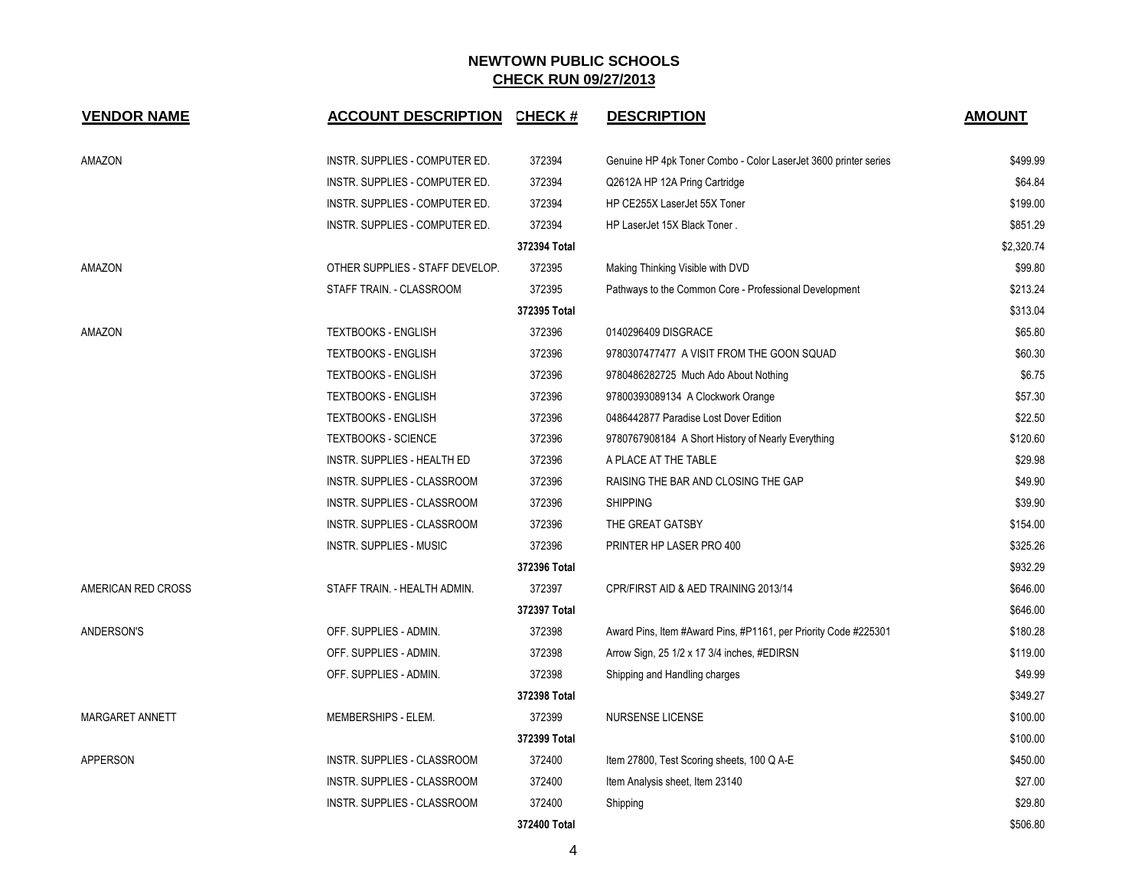| <b>VENDOR NAME</b> | <b>ACCOUNT DESCRIPTION</b>         | <b>CHECK#</b> | <b>DESCRIPTION</b>                                              | <b>AMOUNT</b> |
|--------------------|------------------------------------|---------------|-----------------------------------------------------------------|---------------|
| AMAZON             | INSTR. SUPPLIES - COMPUTER ED.     | 372394        | Genuine HP 4pk Toner Combo - Color LaserJet 3600 printer series | \$499.99      |
|                    | INSTR. SUPPLIES - COMPUTER ED.     | 372394        | Q2612A HP 12A Pring Cartridge                                   | \$64.84       |
|                    | INSTR. SUPPLIES - COMPUTER ED.     | 372394        | HP CE255X LaserJet 55X Toner                                    | \$199.00      |
|                    | INSTR. SUPPLIES - COMPUTER ED.     | 372394        | HP LaserJet 15X Black Toner.                                    | \$851.29      |
|                    |                                    | 372394 Total  |                                                                 | \$2,320.74    |
| AMAZON             | OTHER SUPPLIES - STAFF DEVELOP.    | 372395        | Making Thinking Visible with DVD                                | \$99.80       |
|                    | STAFF TRAIN. - CLASSROOM           | 372395        | Pathways to the Common Core - Professional Development          | \$213.24      |
|                    |                                    | 372395 Total  |                                                                 | \$313.04      |
| AMAZON             | <b>TEXTBOOKS - ENGLISH</b>         | 372396        | 0140296409 DISGRACE                                             | \$65.80       |
|                    | <b>TEXTBOOKS - ENGLISH</b>         | 372396        | 9780307477477 A VISIT FROM THE GOON SQUAD                       | \$60.30       |
|                    | <b>TEXTBOOKS - ENGLISH</b>         | 372396        | 9780486282725 Much Ado About Nothing                            | \$6.75        |
|                    | <b>TEXTBOOKS - ENGLISH</b>         | 372396        | 97800393089134 A Clockwork Orange                               | \$57.30       |
|                    | <b>TEXTBOOKS - ENGLISH</b>         | 372396        | 0486442877 Paradise Lost Dover Edition                          | \$22.50       |
|                    | <b>TEXTBOOKS - SCIENCE</b>         | 372396        | 9780767908184 A Short History of Nearly Everything              | \$120.60      |
|                    | INSTR. SUPPLIES - HEALTH ED        | 372396        | A PLACE AT THE TABLE                                            | \$29.98       |
|                    | INSTR. SUPPLIES - CLASSROOM        | 372396        | RAISING THE BAR AND CLOSING THE GAP                             | \$49.90       |
|                    | INSTR. SUPPLIES - CLASSROOM        | 372396        | <b>SHIPPING</b>                                                 | \$39.90       |
|                    | <b>INSTR. SUPPLIES - CLASSROOM</b> | 372396        | THE GREAT GATSBY                                                | \$154.00      |
|                    | <b>INSTR. SUPPLIES - MUSIC</b>     | 372396        | PRINTER HP LASER PRO 400                                        | \$325.26      |
|                    |                                    | 372396 Total  |                                                                 | \$932.29      |
| AMERICAN RED CROSS | STAFF TRAIN. - HEALTH ADMIN.       | 372397        | CPR/FIRST AID & AED TRAINING 2013/14                            | \$646.00      |
|                    |                                    | 372397 Total  |                                                                 | \$646.00      |
| ANDERSON'S         | OFF. SUPPLIES - ADMIN.             | 372398        | Award Pins, Item #Award Pins, #P1161, per Priority Code #225301 | \$180.28      |
|                    | OFF. SUPPLIES - ADMIN.             | 372398        | Arrow Sign, 25 1/2 x 17 3/4 inches, #EDIRSN                     | \$119.00      |
|                    | OFF. SUPPLIES - ADMIN.             | 372398        | Shipping and Handling charges                                   | \$49.99       |
|                    |                                    | 372398 Total  |                                                                 | \$349.27      |
| MARGARET ANNETT    | MEMBERSHIPS - ELEM.                | 372399        | NURSENSE LICENSE                                                | \$100.00      |
|                    |                                    | 372399 Total  |                                                                 | \$100.00      |
| <b>APPERSON</b>    | INSTR. SUPPLIES - CLASSROOM        | 372400        | Item 27800, Test Scoring sheets, 100 Q A-E                      | \$450.00      |
|                    | INSTR. SUPPLIES - CLASSROOM        | 372400        | Item Analysis sheet, Item 23140                                 | \$27.00       |
|                    | INSTR. SUPPLIES - CLASSROOM        | 372400        | Shipping                                                        | \$29.80       |
|                    |                                    | 372400 Total  |                                                                 | \$506.80      |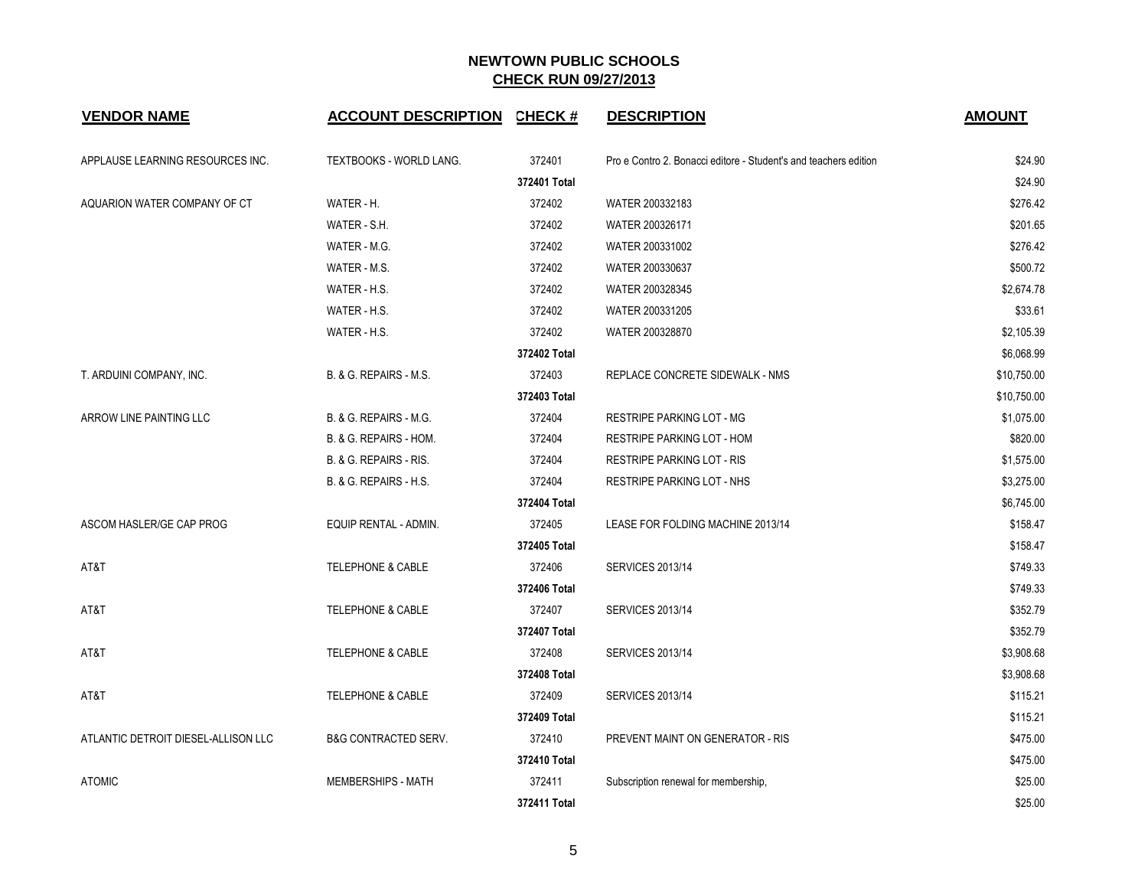| <b>VENDOR NAME</b>                  | <b>ACCOUNT DESCRIPTION</b>      | <b>CHECK#</b> | <b>DESCRIPTION</b>                                               | <b>AMOUNT</b> |
|-------------------------------------|---------------------------------|---------------|------------------------------------------------------------------|---------------|
| APPLAUSE LEARNING RESOURCES INC.    | TEXTBOOKS - WORLD LANG.         | 372401        | Pro e Contro 2. Bonacci editore - Student's and teachers edition | \$24.90       |
|                                     |                                 | 372401 Total  |                                                                  | \$24.90       |
| AQUARION WATER COMPANY OF CT        | WATER - H.                      | 372402        | WATER 200332183                                                  | \$276.42      |
|                                     | WATER - S.H.                    | 372402        | WATER 200326171                                                  | \$201.65      |
|                                     | WATER - M.G.                    | 372402        | WATER 200331002                                                  | \$276.42      |
|                                     | WATER - M.S.                    | 372402        | WATER 200330637                                                  | \$500.72      |
|                                     | WATER - H.S.                    | 372402        | WATER 200328345                                                  | \$2,674.78    |
|                                     | WATER - H.S.                    | 372402        | WATER 200331205                                                  | \$33.61       |
|                                     | WATER - H.S.                    | 372402        | WATER 200328870                                                  | \$2,105.39    |
|                                     |                                 | 372402 Total  |                                                                  | \$6,068.99    |
| T. ARDUINI COMPANY, INC.            | B. & G. REPAIRS - M.S.          | 372403        | <b>REPLACE CONCRETE SIDEWALK - NMS</b>                           | \$10,750.00   |
|                                     |                                 | 372403 Total  |                                                                  | \$10,750.00   |
| ARROW LINE PAINTING LLC             | B. & G. REPAIRS - M.G.          | 372404        | <b>RESTRIPE PARKING LOT - MG</b>                                 | \$1,075.00    |
|                                     | B. & G. REPAIRS - HOM.          | 372404        | RESTRIPE PARKING LOT - HOM                                       | \$820.00      |
|                                     | B. & G. REPAIRS - RIS.          | 372404        | <b>RESTRIPE PARKING LOT - RIS</b>                                | \$1,575.00    |
|                                     | B. & G. REPAIRS - H.S.          | 372404        | <b>RESTRIPE PARKING LOT - NHS</b>                                | \$3,275.00    |
|                                     |                                 | 372404 Total  |                                                                  | \$6,745.00    |
| ASCOM HASLER/GE CAP PROG            | EQUIP RENTAL - ADMIN.           | 372405        | LEASE FOR FOLDING MACHINE 2013/14                                | \$158.47      |
|                                     |                                 | 372405 Total  |                                                                  | \$158.47      |
| AT&T                                | <b>TELEPHONE &amp; CABLE</b>    | 372406        | <b>SERVICES 2013/14</b>                                          | \$749.33      |
|                                     |                                 | 372406 Total  |                                                                  | \$749.33      |
| AT&T                                | <b>TELEPHONE &amp; CABLE</b>    | 372407        | <b>SERVICES 2013/14</b>                                          | \$352.79      |
|                                     |                                 | 372407 Total  |                                                                  | \$352.79      |
| AT&T                                | <b>TELEPHONE &amp; CABLE</b>    | 372408        | <b>SERVICES 2013/14</b>                                          | \$3,908.68    |
|                                     |                                 | 372408 Total  |                                                                  | \$3,908.68    |
| AT&T                                | <b>TELEPHONE &amp; CABLE</b>    | 372409        | <b>SERVICES 2013/14</b>                                          | \$115.21      |
|                                     |                                 | 372409 Total  |                                                                  | \$115.21      |
| ATLANTIC DETROIT DIESEL-ALLISON LLC | <b>B&amp;G CONTRACTED SERV.</b> | 372410        | PREVENT MAINT ON GENERATOR - RIS                                 | \$475.00      |
|                                     |                                 | 372410 Total  |                                                                  | \$475.00      |
| <b>ATOMIC</b>                       | <b>MEMBERSHIPS - MATH</b>       | 372411        | Subscription renewal for membership,                             | \$25.00       |
|                                     |                                 | 372411 Total  |                                                                  | \$25.00       |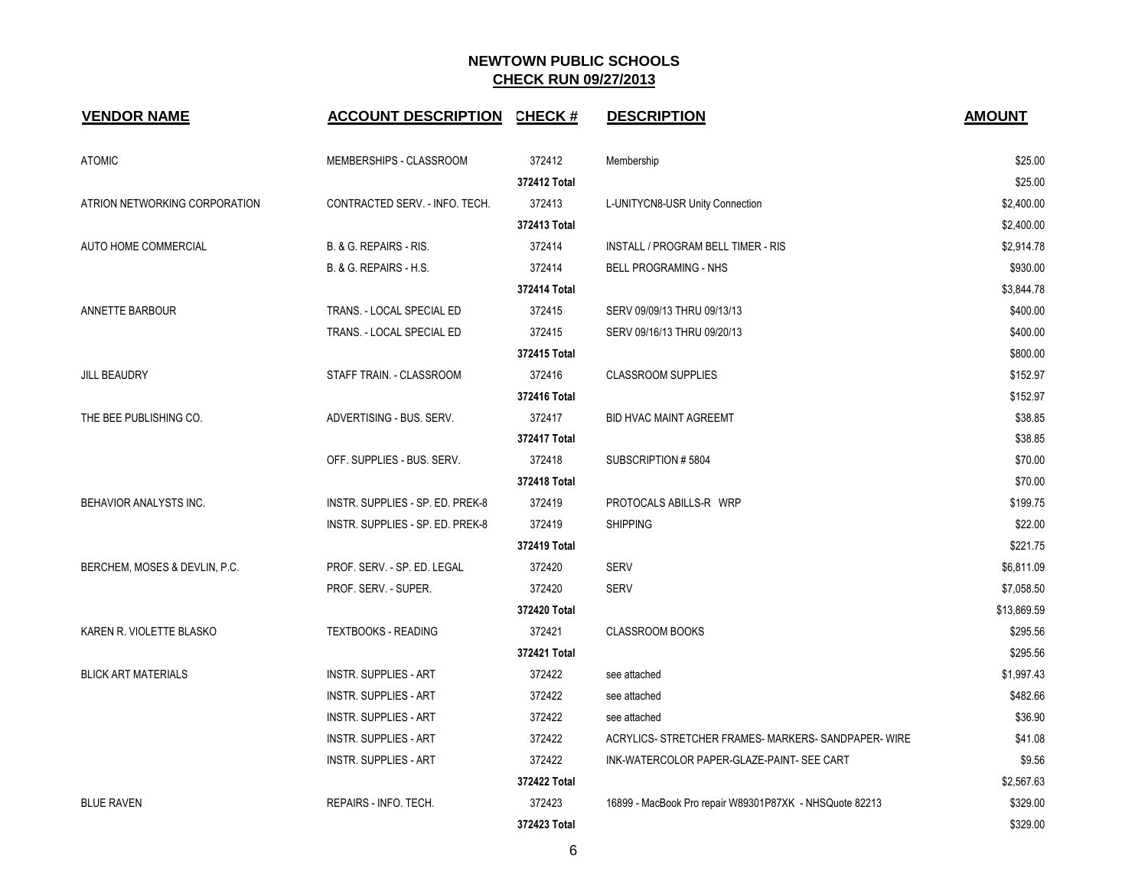| <b>VENDOR NAME</b>            | ACCOUNT DESCRIPTION CHECK #       |              | <b>DESCRIPTION</b>                                      | <b>AMOUNT</b> |
|-------------------------------|-----------------------------------|--------------|---------------------------------------------------------|---------------|
| <b>ATOMIC</b>                 | MEMBERSHIPS - CLASSROOM           | 372412       | Membership                                              | \$25.00       |
|                               |                                   | 372412 Total |                                                         | \$25.00       |
| ATRION NETWORKING CORPORATION | CONTRACTED SERV. - INFO. TECH.    | 372413       | L-UNITYCN8-USR Unity Connection                         | \$2,400.00    |
|                               |                                   | 372413 Total |                                                         | \$2,400.00    |
| AUTO HOME COMMERCIAL          | B. & G. REPAIRS - RIS.            | 372414       | INSTALL / PROGRAM BELL TIMER - RIS                      | \$2,914.78    |
|                               | <b>B. &amp; G. REPAIRS - H.S.</b> | 372414       | <b>BELL PROGRAMING - NHS</b>                            | \$930.00      |
|                               |                                   | 372414 Total |                                                         | \$3,844.78    |
| ANNETTE BARBOUR               | TRANS. - LOCAL SPECIAL ED         | 372415       | SERV 09/09/13 THRU 09/13/13                             | \$400.00      |
|                               | TRANS. - LOCAL SPECIAL ED         | 372415       | SERV 09/16/13 THRU 09/20/13                             | \$400.00      |
|                               |                                   | 372415 Total |                                                         | \$800.00      |
| <b>JILL BEAUDRY</b>           | STAFF TRAIN. - CLASSROOM          | 372416       | <b>CLASSROOM SUPPLIES</b>                               | \$152.97      |
|                               |                                   | 372416 Total |                                                         | \$152.97      |
| THE BEE PUBLISHING CO.        | ADVERTISING - BUS. SERV.          | 372417       | <b>BID HVAC MAINT AGREEMT</b>                           | \$38.85       |
|                               |                                   | 372417 Total |                                                         | \$38.85       |
|                               | OFF. SUPPLIES - BUS. SERV.        | 372418       | SUBSCRIPTION #5804                                      | \$70.00       |
|                               |                                   | 372418 Total |                                                         | \$70.00       |
| BEHAVIOR ANALYSTS INC.        | INSTR. SUPPLIES - SP. ED. PREK-8  | 372419       | PROTOCALS ABILLS-R WRP                                  | \$199.75      |
|                               | INSTR. SUPPLIES - SP. ED. PREK-8  | 372419       | <b>SHIPPING</b>                                         | \$22.00       |
|                               |                                   | 372419 Total |                                                         | \$221.75      |
| BERCHEM, MOSES & DEVLIN, P.C. | PROF. SERV. - SP. ED. LEGAL       | 372420       | <b>SERV</b>                                             | \$6,811.09    |
|                               | PROF. SERV. - SUPER.              | 372420       | <b>SERV</b>                                             | \$7,058.50    |
|                               |                                   | 372420 Total |                                                         | \$13,869.59   |
| KAREN R. VIOLETTE BLASKO      | <b>TEXTBOOKS - READING</b>        | 372421       | <b>CLASSROOM BOOKS</b>                                  | \$295.56      |
|                               |                                   | 372421 Total |                                                         | \$295.56      |
| <b>BLICK ART MATERIALS</b>    | <b>INSTR. SUPPLIES - ART</b>      | 372422       | see attached                                            | \$1,997.43    |
|                               | <b>INSTR. SUPPLIES - ART</b>      | 372422       | see attached                                            | \$482.66      |
|                               | <b>INSTR. SUPPLIES - ART</b>      | 372422       | see attached                                            | \$36.90       |
|                               | <b>INSTR. SUPPLIES - ART</b>      | 372422       | ACRYLICS- STRETCHER FRAMES- MARKERS- SANDPAPER- WIRE    | \$41.08       |
|                               | <b>INSTR. SUPPLIES - ART</b>      | 372422       | INK-WATERCOLOR PAPER-GLAZE-PAINT- SEE CART              | \$9.56        |
|                               |                                   | 372422 Total |                                                         | \$2,567.63    |
| <b>BLUE RAVEN</b>             | REPAIRS - INFO. TECH.             | 372423       | 16899 - MacBook Pro repair W89301P87XK - NHSQuote 82213 | \$329.00      |
|                               |                                   | 372423 Total |                                                         | \$329.00      |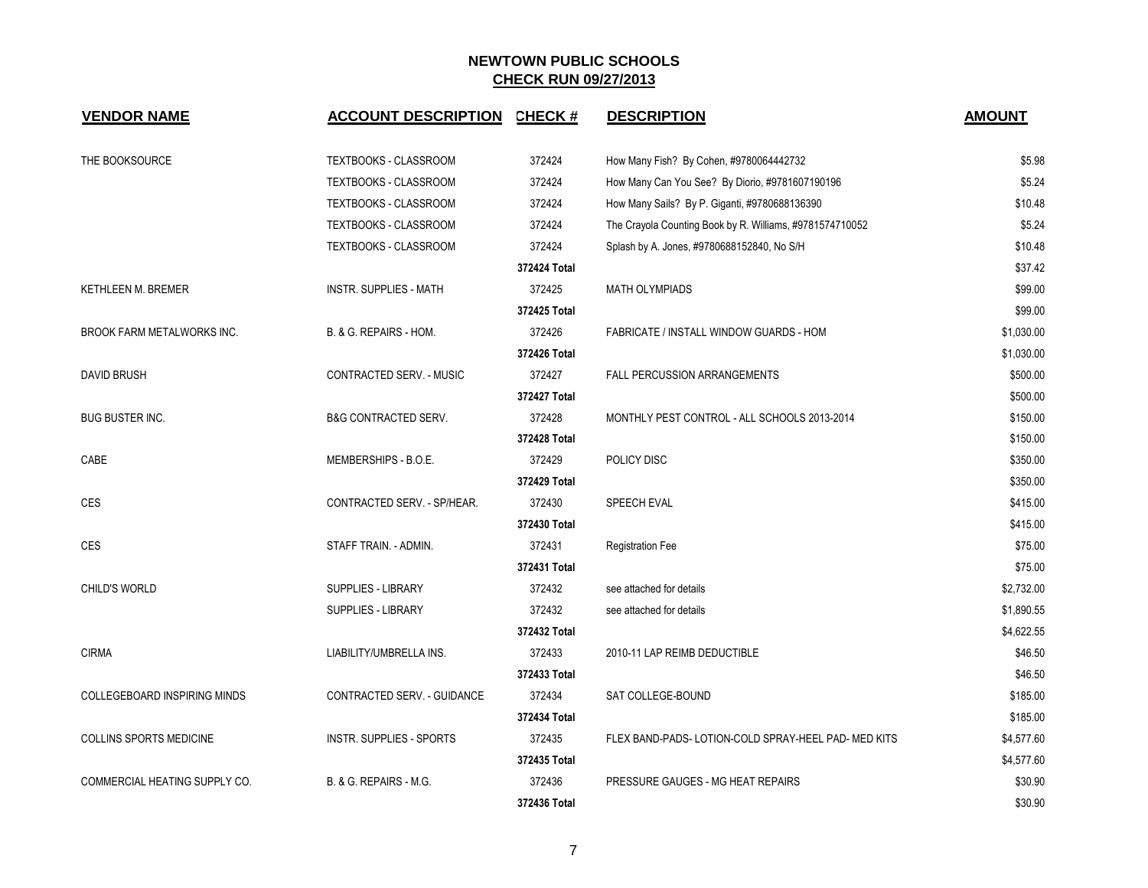| <b>VENDOR NAME</b>                  | <b>ACCOUNT DESCRIPTION CHECK #</b> |              | <b>DESCRIPTION</b>                                       | <b>AMOUNT</b> |
|-------------------------------------|------------------------------------|--------------|----------------------------------------------------------|---------------|
| THE BOOKSOURCE                      | TEXTBOOKS - CLASSROOM              | 372424       | How Many Fish? By Cohen, #9780064442732                  | \$5.98        |
|                                     | TEXTBOOKS - CLASSROOM              | 372424       | How Many Can You See? By Diorio, #9781607190196          | \$5.24        |
|                                     | TEXTBOOKS - CLASSROOM              | 372424       | How Many Sails? By P. Giganti, #9780688136390            | \$10.48       |
|                                     | TEXTBOOKS - CLASSROOM              | 372424       | The Crayola Counting Book by R. Williams, #9781574710052 | \$5.24        |
|                                     | TEXTBOOKS - CLASSROOM              | 372424       | Splash by A. Jones, #9780688152840, No S/H               | \$10.48       |
|                                     |                                    | 372424 Total |                                                          | \$37.42       |
| <b>KETHLEEN M. BREMER</b>           | INSTR. SUPPLIES - MATH             | 372425       | MATH OLYMPIADS                                           | \$99.00       |
|                                     |                                    | 372425 Total |                                                          | \$99.00       |
| BROOK FARM METALWORKS INC.          | B. & G. REPAIRS - HOM.             | 372426       | FABRICATE / INSTALL WINDOW GUARDS - HOM                  | \$1,030.00    |
|                                     |                                    | 372426 Total |                                                          | \$1,030.00    |
| <b>DAVID BRUSH</b>                  | CONTRACTED SERV. - MUSIC           | 372427       | <b>FALL PERCUSSION ARRANGEMENTS</b>                      | \$500.00      |
|                                     |                                    | 372427 Total |                                                          | \$500.00      |
| <b>BUG BUSTER INC.</b>              | <b>B&amp;G CONTRACTED SERV.</b>    | 372428       | MONTHLY PEST CONTROL - ALL SCHOOLS 2013-2014             | \$150.00      |
|                                     |                                    | 372428 Total |                                                          | \$150.00      |
| CABE                                | MEMBERSHIPS - B.O.E.               | 372429       | POLICY DISC                                              | \$350.00      |
|                                     |                                    | 372429 Total |                                                          | \$350.00      |
| CES                                 | CONTRACTED SERV. - SP/HEAR.        | 372430       | SPEECH EVAL                                              | \$415.00      |
|                                     |                                    | 372430 Total |                                                          | \$415.00      |
| CES                                 | STAFF TRAIN. - ADMIN.              | 372431       | <b>Registration Fee</b>                                  | \$75.00       |
|                                     |                                    | 372431 Total |                                                          | \$75.00       |
| CHILD'S WORLD                       | <b>SUPPLIES - LIBRARY</b>          | 372432       | see attached for details                                 | \$2,732.00    |
|                                     | SUPPLIES - LIBRARY                 | 372432       | see attached for details                                 | \$1,890.55    |
|                                     |                                    | 372432 Total |                                                          | \$4,622.55    |
| <b>CIRMA</b>                        | LIABILITY/UMBRELLA INS.            | 372433       | 2010-11 LAP REIMB DEDUCTIBLE                             | \$46.50       |
|                                     |                                    | 372433 Total |                                                          | \$46.50       |
| <b>COLLEGEBOARD INSPIRING MINDS</b> | CONTRACTED SERV. - GUIDANCE        | 372434       | SAT COLLEGE-BOUND                                        | \$185.00      |
|                                     |                                    | 372434 Total |                                                          | \$185.00      |
| <b>COLLINS SPORTS MEDICINE</b>      | <b>INSTR. SUPPLIES - SPORTS</b>    | 372435       | FLEX BAND-PADS-LOTION-COLD SPRAY-HEEL PAD- MED KITS      | \$4,577.60    |
|                                     |                                    | 372435 Total |                                                          | \$4,577.60    |
| COMMERCIAL HEATING SUPPLY CO.       | B. & G. REPAIRS - M.G.             | 372436       | PRESSURE GAUGES - MG HEAT REPAIRS                        | \$30.90       |
|                                     |                                    | 372436 Total |                                                          | \$30.90       |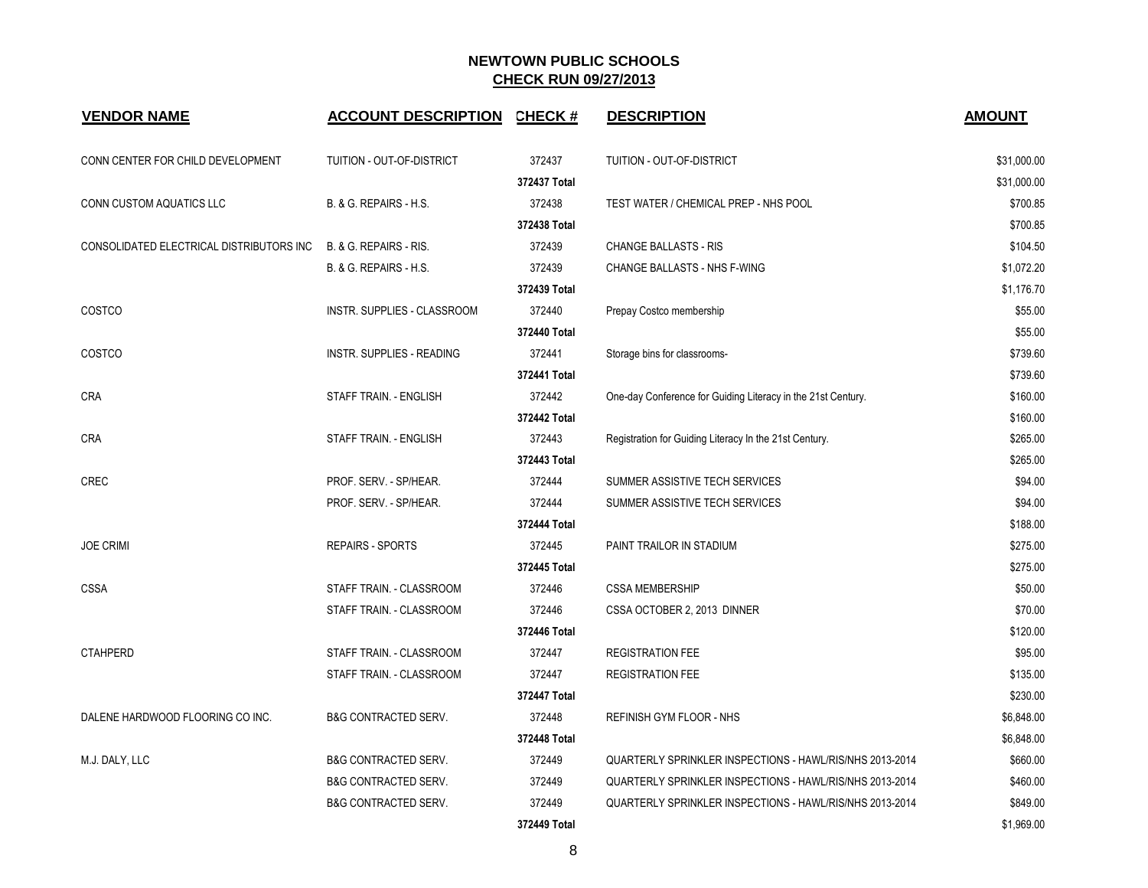| <b>VENDOR NAME</b>                       | <b>ACCOUNT DESCRIPTION CHECK #</b> |              | <b>DESCRIPTION</b>                                           | <b>AMOUNT</b> |
|------------------------------------------|------------------------------------|--------------|--------------------------------------------------------------|---------------|
| CONN CENTER FOR CHILD DEVELOPMENT        | TUITION - OUT-OF-DISTRICT          | 372437       | TUITION - OUT-OF-DISTRICT                                    | \$31,000.00   |
|                                          |                                    | 372437 Total |                                                              | \$31,000.00   |
| CONN CUSTOM AQUATICS LLC                 | B. & G. REPAIRS - H.S.             | 372438       | TEST WATER / CHEMICAL PREP - NHS POOL                        | \$700.85      |
|                                          |                                    | 372438 Total |                                                              | \$700.85      |
| CONSOLIDATED ELECTRICAL DISTRIBUTORS INC | B. & G. REPAIRS - RIS.             | 372439       | <b>CHANGE BALLASTS - RIS</b>                                 | \$104.50      |
|                                          | B. & G. REPAIRS - H.S.             | 372439       | CHANGE BALLASTS - NHS F-WING                                 | \$1,072.20    |
|                                          |                                    | 372439 Total |                                                              | \$1,176.70    |
| <b>COSTCO</b>                            | INSTR. SUPPLIES - CLASSROOM        | 372440       | Prepay Costco membership                                     | \$55.00       |
|                                          |                                    | 372440 Total |                                                              | \$55.00       |
| <b>COSTCO</b>                            | INSTR. SUPPLIES - READING          | 372441       | Storage bins for classrooms-                                 | \$739.60      |
|                                          |                                    | 372441 Total |                                                              | \$739.60      |
| <b>CRA</b>                               | STAFF TRAIN. - ENGLISH             | 372442       | One-day Conference for Guiding Literacy in the 21st Century. | \$160.00      |
|                                          |                                    | 372442 Total |                                                              | \$160.00      |
| <b>CRA</b>                               | STAFF TRAIN. - ENGLISH             | 372443       | Registration for Guiding Literacy In the 21st Century.       | \$265.00      |
|                                          |                                    | 372443 Total |                                                              | \$265.00      |
| <b>CREC</b>                              | PROF. SERV. - SP/HEAR.             | 372444       | SUMMER ASSISTIVE TECH SERVICES                               | \$94.00       |
|                                          | PROF. SERV. - SP/HEAR.             | 372444       | SUMMER ASSISTIVE TECH SERVICES                               | \$94.00       |
|                                          |                                    | 372444 Total |                                                              | \$188.00      |
| <b>JOE CRIMI</b>                         | REPAIRS - SPORTS                   | 372445       | PAINT TRAILOR IN STADIUM                                     | \$275.00      |
|                                          |                                    | 372445 Total |                                                              | \$275.00      |
| <b>CSSA</b>                              | STAFF TRAIN. - CLASSROOM           | 372446       | <b>CSSA MEMBERSHIP</b>                                       | \$50.00       |
|                                          | STAFF TRAIN. - CLASSROOM           | 372446       | CSSA OCTOBER 2, 2013 DINNER                                  | \$70.00       |
|                                          |                                    | 372446 Total |                                                              | \$120.00      |
| <b>CTAHPERD</b>                          | STAFF TRAIN. - CLASSROOM           | 372447       | <b>REGISTRATION FEE</b>                                      | \$95.00       |
|                                          | STAFF TRAIN. - CLASSROOM           | 372447       | <b>REGISTRATION FEE</b>                                      | \$135.00      |
|                                          |                                    | 372447 Total |                                                              | \$230.00      |
| DALENE HARDWOOD FLOORING CO INC.         | <b>B&amp;G CONTRACTED SERV.</b>    | 372448       | REFINISH GYM FLOOR - NHS                                     | \$6,848.00    |
|                                          |                                    | 372448 Total |                                                              | \$6,848.00    |
| M.J. DALY, LLC                           | <b>B&amp;G CONTRACTED SERV.</b>    | 372449       | QUARTERLY SPRINKLER INSPECTIONS - HAWL/RIS/NHS 2013-2014     | \$660.00      |
|                                          | B&G CONTRACTED SERV.               | 372449       | QUARTERLY SPRINKLER INSPECTIONS - HAWL/RIS/NHS 2013-2014     | \$460.00      |
|                                          | <b>B&amp;G CONTRACTED SERV.</b>    | 372449       | QUARTERLY SPRINKLER INSPECTIONS - HAWL/RIS/NHS 2013-2014     | \$849.00      |
|                                          |                                    | 372449 Total |                                                              | \$1,969.00    |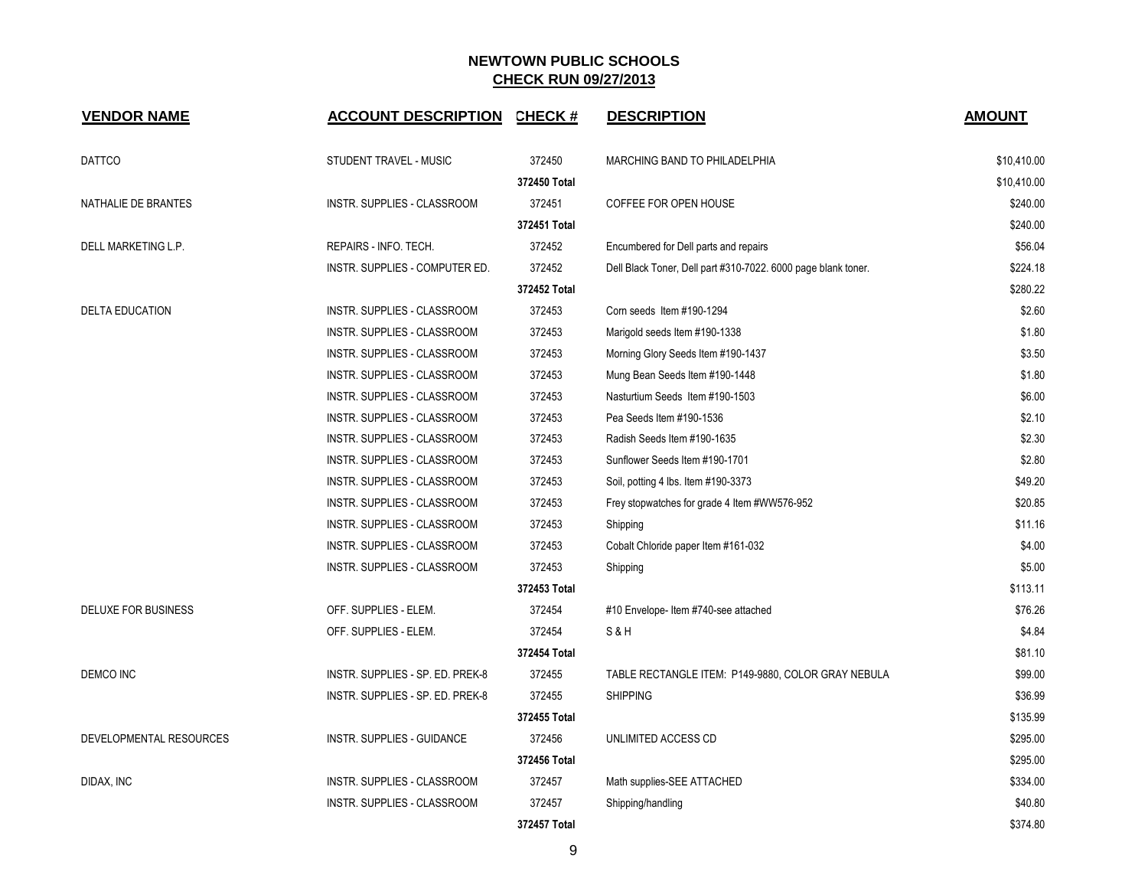| <b>VENDOR NAME</b>         | <b>ACCOUNT DESCRIPTION</b>       | <b>CHECK#</b> | <b>DESCRIPTION</b>                                            | <b>AMOUNT</b> |
|----------------------------|----------------------------------|---------------|---------------------------------------------------------------|---------------|
| <b>DATTCO</b>              | STUDENT TRAVEL - MUSIC           | 372450        | MARCHING BAND TO PHILADELPHIA                                 | \$10,410.00   |
|                            |                                  | 372450 Total  |                                                               | \$10,410.00   |
| NATHALIE DE BRANTES        | INSTR. SUPPLIES - CLASSROOM      | 372451        | COFFEE FOR OPEN HOUSE                                         | \$240.00      |
|                            |                                  | 372451 Total  |                                                               | \$240.00      |
| DELL MARKETING L.P.        | REPAIRS - INFO. TECH.            | 372452        | Encumbered for Dell parts and repairs                         | \$56.04       |
|                            | INSTR. SUPPLIES - COMPUTER ED.   | 372452        | Dell Black Toner, Dell part #310-7022. 6000 page blank toner. | \$224.18      |
|                            |                                  | 372452 Total  |                                                               | \$280.22      |
| <b>DELTA EDUCATION</b>     | INSTR. SUPPLIES - CLASSROOM      | 372453        | Corn seeds Item #190-1294                                     | \$2.60        |
|                            | INSTR. SUPPLIES - CLASSROOM      | 372453        | Marigold seeds Item #190-1338                                 | \$1.80        |
|                            | INSTR. SUPPLIES - CLASSROOM      | 372453        | Morning Glory Seeds Item #190-1437                            | \$3.50        |
|                            | INSTR. SUPPLIES - CLASSROOM      | 372453        | Mung Bean Seeds Item #190-1448                                | \$1.80        |
|                            | INSTR. SUPPLIES - CLASSROOM      | 372453        | Nasturtium Seeds Item #190-1503                               | \$6.00        |
|                            | INSTR. SUPPLIES - CLASSROOM      | 372453        | Pea Seeds Item #190-1536                                      | \$2.10        |
|                            | INSTR. SUPPLIES - CLASSROOM      | 372453        | Radish Seeds Item #190-1635                                   | \$2.30        |
|                            | INSTR. SUPPLIES - CLASSROOM      | 372453        | Sunflower Seeds Item #190-1701                                | \$2.80        |
|                            | INSTR. SUPPLIES - CLASSROOM      | 372453        | Soil, potting 4 lbs. Item #190-3373                           | \$49.20       |
|                            | INSTR. SUPPLIES - CLASSROOM      | 372453        | Frey stopwatches for grade 4 Item #WW576-952                  | \$20.85       |
|                            | INSTR. SUPPLIES - CLASSROOM      | 372453        | Shipping                                                      | \$11.16       |
|                            | INSTR. SUPPLIES - CLASSROOM      | 372453        | Cobalt Chloride paper Item #161-032                           | \$4.00        |
|                            | INSTR. SUPPLIES - CLASSROOM      | 372453        | Shipping                                                      | \$5.00        |
|                            |                                  | 372453 Total  |                                                               | \$113.11      |
| <b>DELUXE FOR BUSINESS</b> | OFF. SUPPLIES - ELEM.            | 372454        | #10 Envelope- Item #740-see attached                          | \$76.26       |
|                            | OFF. SUPPLIES - ELEM.            | 372454        | S&H                                                           | \$4.84        |
|                            |                                  | 372454 Total  |                                                               | \$81.10       |
| DEMCO INC                  | INSTR. SUPPLIES - SP. ED. PREK-8 | 372455        | TABLE RECTANGLE ITEM: P149-9880, COLOR GRAY NEBULA            | \$99.00       |
|                            | INSTR. SUPPLIES - SP. ED. PREK-8 | 372455        | <b>SHIPPING</b>                                               | \$36.99       |
|                            |                                  | 372455 Total  |                                                               | \$135.99      |
| DEVELOPMENTAL RESOURCES    | INSTR. SUPPLIES - GUIDANCE       | 372456        | UNLIMITED ACCESS CD                                           | \$295.00      |
|                            |                                  | 372456 Total  |                                                               | \$295.00      |
| DIDAX, INC                 | INSTR. SUPPLIES - CLASSROOM      | 372457        | Math supplies-SEE ATTACHED                                    | \$334.00      |
|                            | INSTR. SUPPLIES - CLASSROOM      | 372457        | Shipping/handling                                             | \$40.80       |
|                            |                                  | 372457 Total  |                                                               | \$374.80      |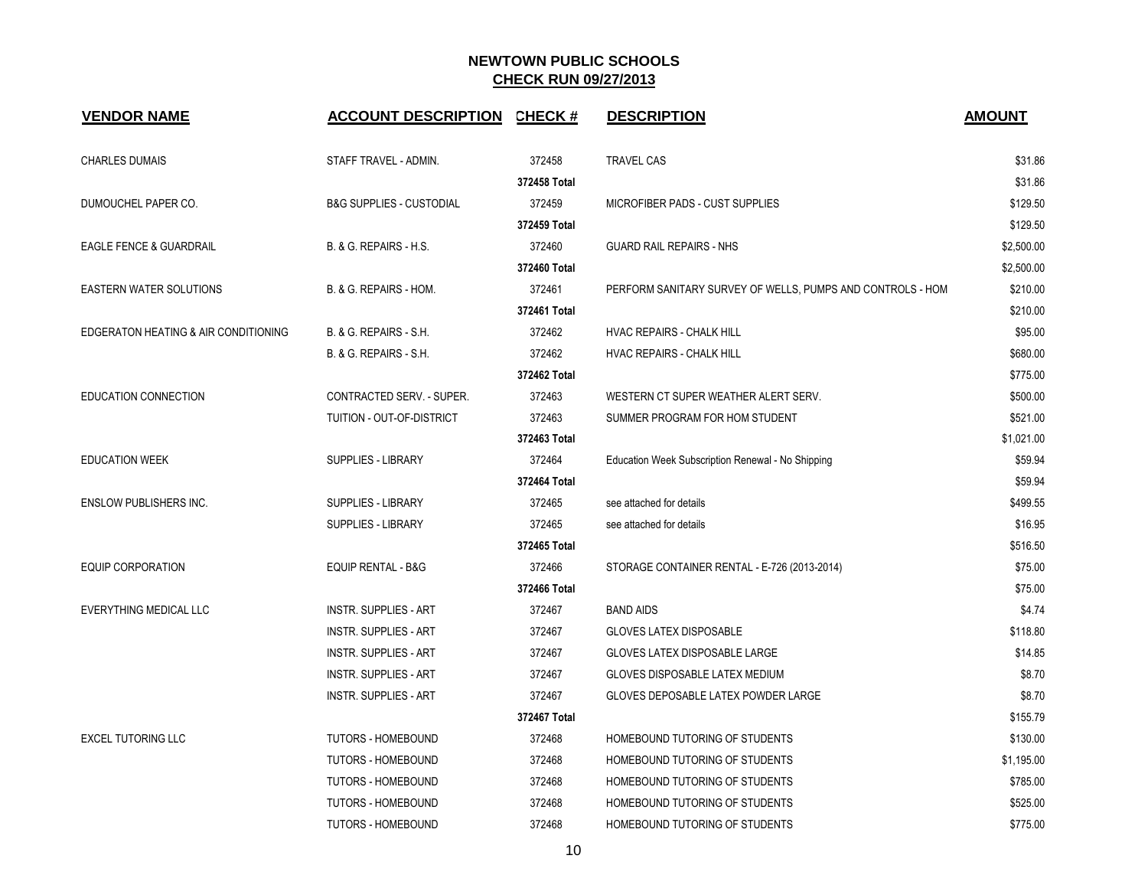| <b>VENDOR NAME</b>                   | <b>ACCOUNT DESCRIPTION CHECK #</b>  |              | <b>DESCRIPTION</b>                                         | <b>AMOUNT</b> |
|--------------------------------------|-------------------------------------|--------------|------------------------------------------------------------|---------------|
| <b>CHARLES DUMAIS</b>                | STAFF TRAVEL - ADMIN.               | 372458       | <b>TRAVEL CAS</b>                                          | \$31.86       |
|                                      |                                     | 372458 Total |                                                            | \$31.86       |
| DUMOUCHEL PAPER CO.                  | <b>B&amp;G SUPPLIES - CUSTODIAL</b> | 372459       | MICROFIBER PADS - CUST SUPPLIES                            | \$129.50      |
|                                      |                                     | 372459 Total |                                                            | \$129.50      |
| EAGLE FENCE & GUARDRAIL              | B. & G. REPAIRS - H.S.              | 372460       | <b>GUARD RAIL REPAIRS - NHS</b>                            | \$2,500.00    |
|                                      |                                     | 372460 Total |                                                            | \$2,500.00    |
| <b>EASTERN WATER SOLUTIONS</b>       | B. & G. REPAIRS - HOM.              | 372461       | PERFORM SANITARY SURVEY OF WELLS, PUMPS AND CONTROLS - HOM | \$210.00      |
|                                      |                                     | 372461 Total |                                                            | \$210.00      |
| EDGERATON HEATING & AIR CONDITIONING | B. & G. REPAIRS - S.H.              | 372462       | HVAC REPAIRS - CHALK HILL                                  | \$95.00       |
|                                      | B. & G. REPAIRS - S.H.              | 372462       | HVAC REPAIRS - CHALK HILL                                  | \$680.00      |
|                                      |                                     | 372462 Total |                                                            | \$775.00      |
| EDUCATION CONNECTION                 | CONTRACTED SERV. - SUPER.           | 372463       | WESTERN CT SUPER WEATHER ALERT SERV.                       | \$500.00      |
|                                      | TUITION - OUT-OF-DISTRICT           | 372463       | SUMMER PROGRAM FOR HOM STUDENT                             | \$521.00      |
|                                      |                                     | 372463 Total |                                                            | \$1,021.00    |
| <b>EDUCATION WEEK</b>                | <b>SUPPLIES - LIBRARY</b>           | 372464       | Education Week Subscription Renewal - No Shipping          | \$59.94       |
|                                      |                                     | 372464 Total |                                                            | \$59.94       |
| <b>ENSLOW PUBLISHERS INC.</b>        | <b>SUPPLIES - LIBRARY</b>           | 372465       | see attached for details                                   | \$499.55      |
|                                      | <b>SUPPLIES - LIBRARY</b>           | 372465       | see attached for details                                   | \$16.95       |
|                                      |                                     | 372465 Total |                                                            | \$516.50      |
| <b>EQUIP CORPORATION</b>             | EQUIP RENTAL - B&G                  | 372466       | STORAGE CONTAINER RENTAL - E-726 (2013-2014)               | \$75.00       |
|                                      |                                     | 372466 Total |                                                            | \$75.00       |
| EVERYTHING MEDICAL LLC               | <b>INSTR. SUPPLIES - ART</b>        | 372467       | <b>BAND AIDS</b>                                           | \$4.74        |
|                                      | <b>INSTR. SUPPLIES - ART</b>        | 372467       | <b>GLOVES LATEX DISPOSABLE</b>                             | \$118.80      |
|                                      | <b>INSTR. SUPPLIES - ART</b>        | 372467       | <b>GLOVES LATEX DISPOSABLE LARGE</b>                       | \$14.85       |
|                                      | <b>INSTR. SUPPLIES - ART</b>        | 372467       | GLOVES DISPOSABLE LATEX MEDIUM                             | \$8.70        |
|                                      | <b>INSTR. SUPPLIES - ART</b>        | 372467       | GLOVES DEPOSABLE LATEX POWDER LARGE                        | \$8.70        |
|                                      |                                     | 372467 Total |                                                            | \$155.79      |
| <b>EXCEL TUTORING LLC</b>            | <b>TUTORS - HOMEBOUND</b>           | 372468       | HOMEBOUND TUTORING OF STUDENTS                             | \$130.00      |
|                                      | <b>TUTORS - HOMEBOUND</b>           | 372468       | HOMEBOUND TUTORING OF STUDENTS                             | \$1,195.00    |
|                                      | <b>TUTORS - HOMEBOUND</b>           | 372468       | HOMEBOUND TUTORING OF STUDENTS                             | \$785.00      |
|                                      | <b>TUTORS - HOMEBOUND</b>           | 372468       | HOMEBOUND TUTORING OF STUDENTS                             | \$525.00      |
|                                      | <b>TUTORS - HOMEBOUND</b>           | 372468       | HOMEBOUND TUTORING OF STUDENTS                             | \$775.00      |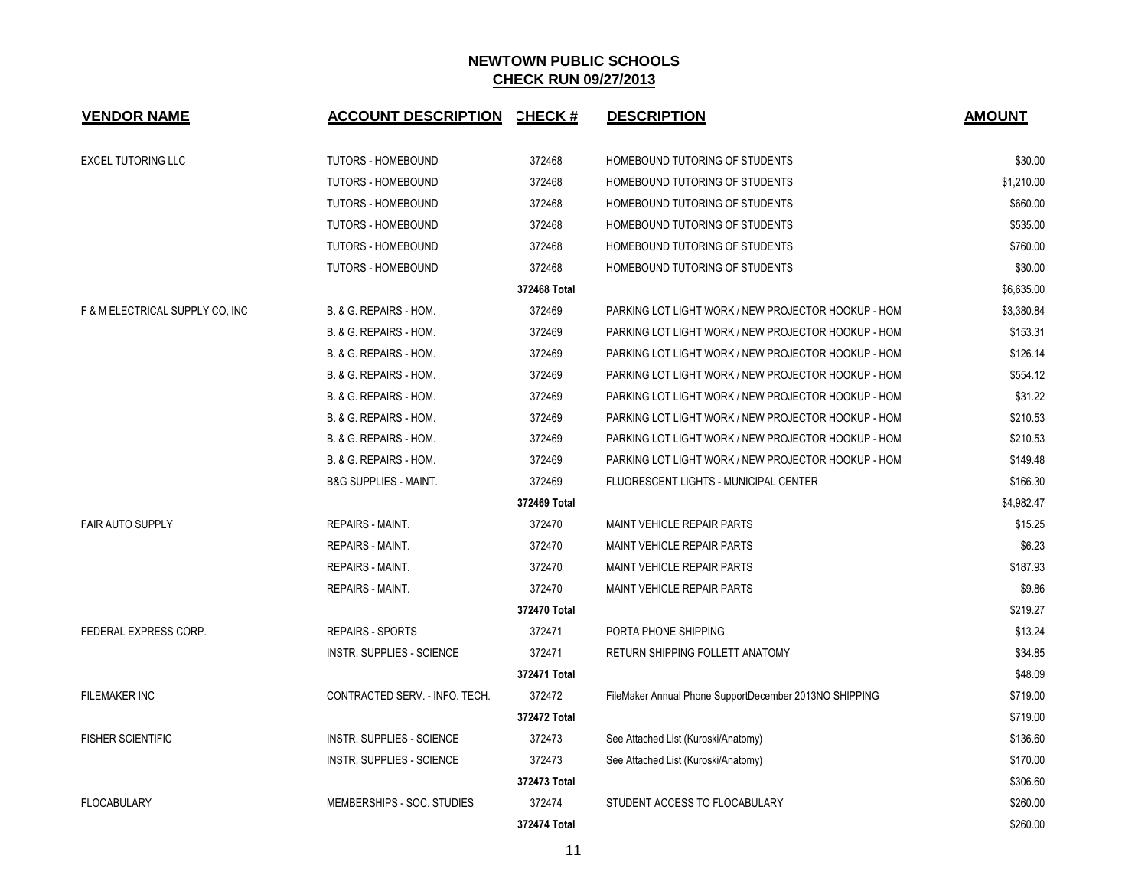| <b>VENDOR NAME</b>              | ACCOUNT DESCRIPTION CHECK #      |              | <b>DESCRIPTION</b>                                     | <b>AMOUNT</b> |
|---------------------------------|----------------------------------|--------------|--------------------------------------------------------|---------------|
| <b>EXCEL TUTORING LLC</b>       | <b>TUTORS - HOMEBOUND</b>        | 372468       | HOMEBOUND TUTORING OF STUDENTS                         | \$30.00       |
|                                 | <b>TUTORS - HOMEBOUND</b>        | 372468       | HOMEBOUND TUTORING OF STUDENTS                         | \$1,210.00    |
|                                 | TUTORS - HOMEBOUND               | 372468       | HOMEBOUND TUTORING OF STUDENTS                         | \$660.00      |
|                                 | TUTORS - HOMEBOUND               | 372468       | HOMEBOUND TUTORING OF STUDENTS                         | \$535.00      |
|                                 | TUTORS - HOMEBOUND               | 372468       | HOMEBOUND TUTORING OF STUDENTS                         | \$760.00      |
|                                 | <b>TUTORS - HOMEBOUND</b>        | 372468       | HOMEBOUND TUTORING OF STUDENTS                         | \$30.00       |
|                                 |                                  | 372468 Total |                                                        | \$6,635.00    |
| F & M ELECTRICAL SUPPLY CO, INC | B. & G. REPAIRS - HOM.           | 372469       | PARKING LOT LIGHT WORK / NEW PROJECTOR HOOKUP - HOM    | \$3,380.84    |
|                                 | B. & G. REPAIRS - HOM.           | 372469       | PARKING LOT LIGHT WORK / NEW PROJECTOR HOOKUP - HOM    | \$153.31      |
|                                 | B. & G. REPAIRS - HOM.           | 372469       | PARKING LOT LIGHT WORK / NEW PROJECTOR HOOKUP - HOM    | \$126.14      |
|                                 | B. & G. REPAIRS - HOM.           | 372469       | PARKING LOT LIGHT WORK / NEW PROJECTOR HOOKUP - HOM    | \$554.12      |
|                                 | B. & G. REPAIRS - HOM.           | 372469       | PARKING LOT LIGHT WORK / NEW PROJECTOR HOOKUP - HOM    | \$31.22       |
|                                 | B. & G. REPAIRS - HOM.           | 372469       | PARKING LOT LIGHT WORK / NEW PROJECTOR HOOKUP - HOM    | \$210.53      |
|                                 | B. & G. REPAIRS - HOM.           | 372469       | PARKING LOT LIGHT WORK / NEW PROJECTOR HOOKUP - HOM    | \$210.53      |
|                                 | B. & G. REPAIRS - HOM.           | 372469       | PARKING LOT LIGHT WORK / NEW PROJECTOR HOOKUP - HOM    | \$149.48      |
|                                 | <b>B&amp;G SUPPLIES - MAINT.</b> | 372469       | <b>FLUORESCENT LIGHTS - MUNICIPAL CENTER</b>           | \$166.30      |
|                                 |                                  | 372469 Total |                                                        | \$4,982.47    |
| <b>FAIR AUTO SUPPLY</b>         | REPAIRS - MAINT.                 | 372470       | <b>MAINT VEHICLE REPAIR PARTS</b>                      | \$15.25       |
|                                 | <b>REPAIRS - MAINT.</b>          | 372470       | MAINT VEHICLE REPAIR PARTS                             | \$6.23        |
|                                 | <b>REPAIRS - MAINT.</b>          | 372470       | <b>MAINT VEHICLE REPAIR PARTS</b>                      | \$187.93      |
|                                 | <b>REPAIRS - MAINT.</b>          | 372470       | MAINT VEHICLE REPAIR PARTS                             | \$9.86        |
|                                 |                                  | 372470 Total |                                                        | \$219.27      |
| FEDERAL EXPRESS CORP.           | <b>REPAIRS - SPORTS</b>          | 372471       | PORTA PHONE SHIPPING                                   | \$13.24       |
|                                 | <b>INSTR. SUPPLIES - SCIENCE</b> | 372471       | RETURN SHIPPING FOLLETT ANATOMY                        | \$34.85       |
|                                 |                                  | 372471 Total |                                                        | \$48.09       |
| <b>FILEMAKER INC</b>            | CONTRACTED SERV. - INFO. TECH.   | 372472       | FileMaker Annual Phone SupportDecember 2013NO SHIPPING | \$719.00      |
|                                 |                                  | 372472 Total |                                                        | \$719.00      |
| <b>FISHER SCIENTIFIC</b>        | <b>INSTR. SUPPLIES - SCIENCE</b> | 372473       | See Attached List (Kuroski/Anatomy)                    | \$136.60      |
|                                 | <b>INSTR. SUPPLIES - SCIENCE</b> | 372473       | See Attached List (Kuroski/Anatomy)                    | \$170.00      |
|                                 |                                  | 372473 Total |                                                        | \$306.60      |
| <b>FLOCABULARY</b>              | MEMBERSHIPS - SOC. STUDIES       | 372474       | STUDENT ACCESS TO FLOCABULARY                          | \$260.00      |
|                                 |                                  | 372474 Total |                                                        | \$260.00      |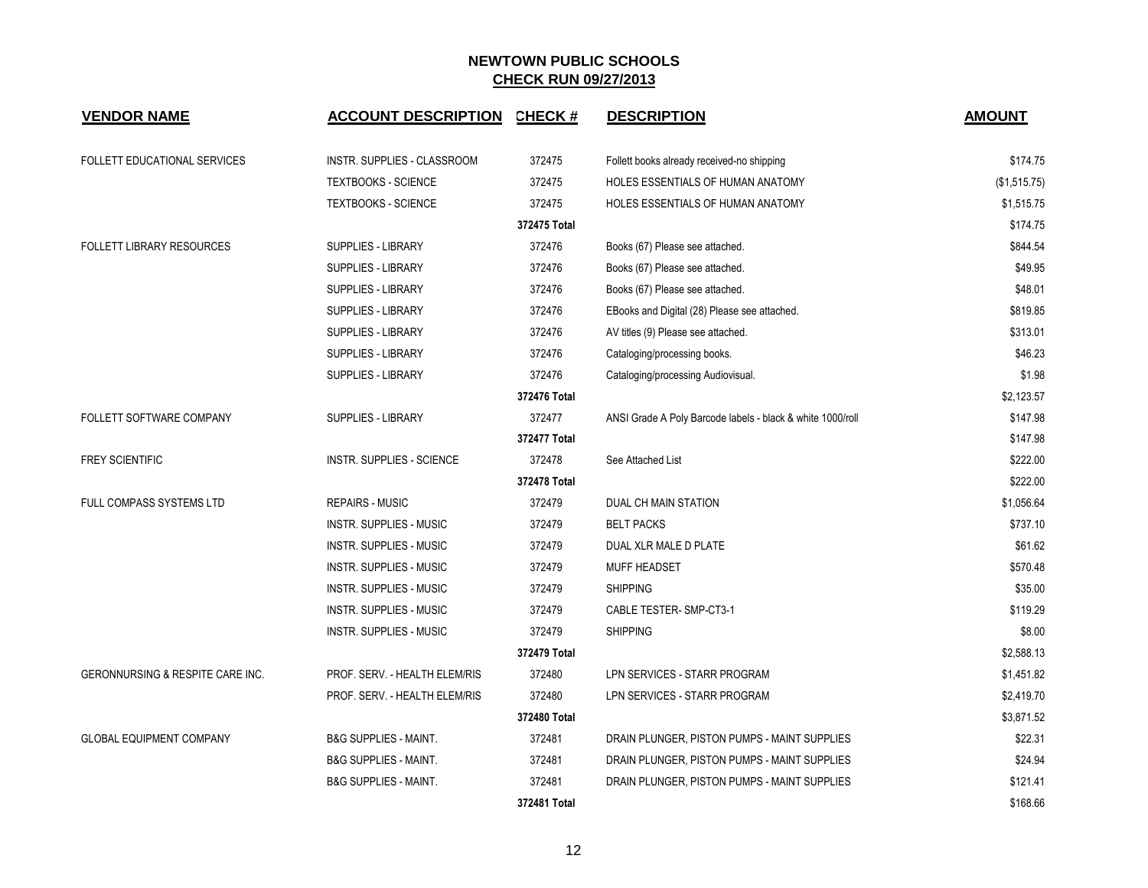| <b>VENDOR NAME</b>                  | <b>ACCOUNT DESCRIPTION</b>       | <b>CHECK#</b> | <b>DESCRIPTION</b>                                         | <b>AMOUNT</b> |
|-------------------------------------|----------------------------------|---------------|------------------------------------------------------------|---------------|
| <b>FOLLETT EDUCATIONAL SERVICES</b> | INSTR. SUPPLIES - CLASSROOM      | 372475        | Follett books already received-no shipping                 | \$174.75      |
|                                     | <b>TEXTBOOKS - SCIENCE</b>       | 372475        | HOLES ESSENTIALS OF HUMAN ANATOMY                          | (\$1,515.75)  |
|                                     | <b>TEXTBOOKS - SCIENCE</b>       | 372475        | HOLES ESSENTIALS OF HUMAN ANATOMY                          | \$1,515.75    |
|                                     |                                  | 372475 Total  |                                                            | \$174.75      |
| <b>FOLLETT LIBRARY RESOURCES</b>    | SUPPLIES - LIBRARY               | 372476        | Books (67) Please see attached.                            | \$844.54      |
|                                     | SUPPLIES - LIBRARY               | 372476        | Books (67) Please see attached.                            | \$49.95       |
|                                     | <b>SUPPLIES - LIBRARY</b>        | 372476        | Books (67) Please see attached.                            | \$48.01       |
|                                     | <b>SUPPLIES - LIBRARY</b>        | 372476        | EBooks and Digital (28) Please see attached.               | \$819.85      |
|                                     | <b>SUPPLIES - LIBRARY</b>        | 372476        | AV titles (9) Please see attached.                         | \$313.01      |
|                                     | SUPPLIES - LIBRARY               | 372476        | Cataloging/processing books.                               | \$46.23       |
|                                     | SUPPLIES - LIBRARY               | 372476        | Cataloging/processing Audiovisual.                         | \$1.98        |
|                                     |                                  | 372476 Total  |                                                            | \$2,123.57    |
| FOLLETT SOFTWARE COMPANY            | SUPPLIES - LIBRARY               | 372477        | ANSI Grade A Poly Barcode labels - black & white 1000/roll | \$147.98      |
|                                     |                                  | 372477 Total  |                                                            | \$147.98      |
| <b>FREY SCIENTIFIC</b>              | <b>INSTR. SUPPLIES - SCIENCE</b> | 372478        | See Attached List                                          | \$222.00      |
|                                     |                                  | 372478 Total  |                                                            | \$222.00      |
| FULL COMPASS SYSTEMS LTD            | <b>REPAIRS - MUSIC</b>           | 372479        | DUAL CH MAIN STATION                                       | \$1,056.64    |
|                                     | <b>INSTR. SUPPLIES - MUSIC</b>   | 372479        | <b>BELT PACKS</b>                                          | \$737.10      |
|                                     | INSTR. SUPPLIES - MUSIC          | 372479        | DUAL XLR MALE D PLATE                                      | \$61.62       |
|                                     | <b>INSTR. SUPPLIES - MUSIC</b>   | 372479        | <b>MUFF HEADSET</b>                                        | \$570.48      |
|                                     | INSTR. SUPPLIES - MUSIC          | 372479        | <b>SHIPPING</b>                                            | \$35.00       |
|                                     | INSTR. SUPPLIES - MUSIC          | 372479        | CABLE TESTER-SMP-CT3-1                                     | \$119.29      |
|                                     | <b>INSTR. SUPPLIES - MUSIC</b>   | 372479        | <b>SHIPPING</b>                                            | \$8.00        |
|                                     |                                  | 372479 Total  |                                                            | \$2,588.13    |
| GERONNURSING & RESPITE CARE INC.    | PROF. SERV. - HEALTH ELEM/RIS    | 372480        | LPN SERVICES - STARR PROGRAM                               | \$1,451.82    |
|                                     | PROF. SERV. - HEALTH ELEM/RIS    | 372480        | LPN SERVICES - STARR PROGRAM                               | \$2,419.70    |
|                                     |                                  | 372480 Total  |                                                            | \$3,871.52    |
| <b>GLOBAL EQUIPMENT COMPANY</b>     | <b>B&amp;G SUPPLIES - MAINT.</b> | 372481        | DRAIN PLUNGER, PISTON PUMPS - MAINT SUPPLIES               | \$22.31       |
|                                     | <b>B&amp;G SUPPLIES - MAINT.</b> | 372481        | DRAIN PLUNGER, PISTON PUMPS - MAINT SUPPLIES               | \$24.94       |
|                                     | <b>B&amp;G SUPPLIES - MAINT.</b> | 372481        | DRAIN PLUNGER, PISTON PUMPS - MAINT SUPPLIES               | \$121.41      |
|                                     |                                  | 372481 Total  |                                                            | \$168.66      |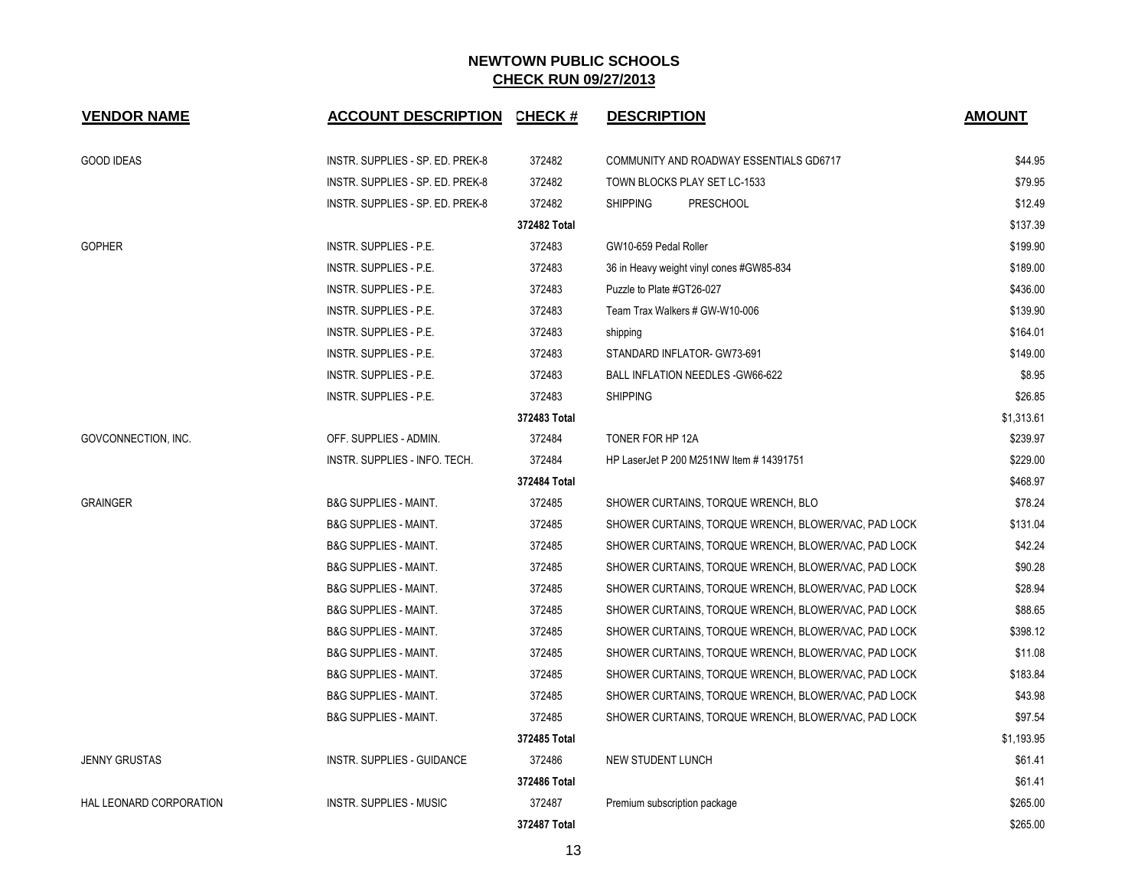| <b>VENDOR NAME</b>      | <b>ACCOUNT DESCRIPTION</b>       | <b>CHECK#</b> | <b>DESCRIPTION</b>                                   | <b>AMOUNT</b> |
|-------------------------|----------------------------------|---------------|------------------------------------------------------|---------------|
| <b>GOOD IDEAS</b>       | INSTR. SUPPLIES - SP. ED. PREK-8 | 372482        | COMMUNITY AND ROADWAY ESSENTIALS GD6717              | \$44.95       |
|                         | INSTR. SUPPLIES - SP. ED. PREK-8 | 372482        | TOWN BLOCKS PLAY SET LC-1533                         | \$79.95       |
|                         | INSTR. SUPPLIES - SP. ED. PREK-8 | 372482        | <b>SHIPPING</b><br><b>PRESCHOOL</b>                  | \$12.49       |
|                         |                                  | 372482 Total  |                                                      | \$137.39      |
| <b>GOPHER</b>           | <b>INSTR. SUPPLIES - P.E.</b>    | 372483        | GW10-659 Pedal Roller                                | \$199.90      |
|                         | INSTR. SUPPLIES - P.E.           | 372483        | 36 in Heavy weight vinyl cones #GW85-834             | \$189.00      |
|                         | INSTR. SUPPLIES - P.E.           | 372483        | Puzzle to Plate #GT26-027                            | \$436.00      |
|                         | INSTR. SUPPLIES - P.E.           | 372483        | Team Trax Walkers # GW-W10-006                       | \$139.90      |
|                         | INSTR. SUPPLIES - P.E.           | 372483        | shipping                                             | \$164.01      |
|                         | <b>INSTR. SUPPLIES - P.E.</b>    | 372483        | STANDARD INFLATOR- GW73-691                          | \$149.00      |
|                         | INSTR. SUPPLIES - P.E.           | 372483        | <b>BALL INFLATION NEEDLES - GW66-622</b>             | \$8.95        |
|                         | INSTR. SUPPLIES - P.E.           | 372483        | <b>SHIPPING</b>                                      | \$26.85       |
|                         |                                  | 372483 Total  |                                                      | \$1,313.61    |
| GOVCONNECTION, INC.     | OFF. SUPPLIES - ADMIN.           | 372484        | TONER FOR HP 12A                                     | \$239.97      |
|                         | INSTR. SUPPLIES - INFO. TECH.    | 372484        | HP LaserJet P 200 M251NW Item # 14391751             | \$229.00      |
|                         |                                  | 372484 Total  |                                                      | \$468.97      |
| <b>GRAINGER</b>         | <b>B&amp;G SUPPLIES - MAINT.</b> | 372485        | SHOWER CURTAINS, TORQUE WRENCH, BLO                  | \$78.24       |
|                         | <b>B&amp;G SUPPLIES - MAINT.</b> | 372485        | SHOWER CURTAINS, TORQUE WRENCH, BLOWER/VAC, PAD LOCK | \$131.04      |
|                         | <b>B&amp;G SUPPLIES - MAINT.</b> | 372485        | SHOWER CURTAINS, TORQUE WRENCH, BLOWER/VAC, PAD LOCK | \$42.24       |
|                         | <b>B&amp;G SUPPLIES - MAINT.</b> | 372485        | SHOWER CURTAINS, TORQUE WRENCH, BLOWER/VAC, PAD LOCK | \$90.28       |
|                         | <b>B&amp;G SUPPLIES - MAINT.</b> | 372485        | SHOWER CURTAINS, TORQUE WRENCH, BLOWER/VAC, PAD LOCK | \$28.94       |
|                         | <b>B&amp;G SUPPLIES - MAINT.</b> | 372485        | SHOWER CURTAINS, TORQUE WRENCH, BLOWER/VAC, PAD LOCK | \$88.65       |
|                         | <b>B&amp;G SUPPLIES - MAINT.</b> | 372485        | SHOWER CURTAINS, TORQUE WRENCH, BLOWER/VAC, PAD LOCK | \$398.12      |
|                         | <b>B&amp;G SUPPLIES - MAINT.</b> | 372485        | SHOWER CURTAINS, TORQUE WRENCH, BLOWER/VAC, PAD LOCK | \$11.08       |
|                         | <b>B&amp;G SUPPLIES - MAINT.</b> | 372485        | SHOWER CURTAINS, TORQUE WRENCH, BLOWER/VAC, PAD LOCK | \$183.84      |
|                         | <b>B&amp;G SUPPLIES - MAINT.</b> | 372485        | SHOWER CURTAINS, TORQUE WRENCH, BLOWER/VAC, PAD LOCK | \$43.98       |
|                         | <b>B&amp;G SUPPLIES - MAINT.</b> | 372485        | SHOWER CURTAINS, TORQUE WRENCH, BLOWER/VAC, PAD LOCK | \$97.54       |
|                         |                                  | 372485 Total  |                                                      | \$1,193.95    |
| <b>JENNY GRUSTAS</b>    | INSTR. SUPPLIES - GUIDANCE       | 372486        | <b>NEW STUDENT LUNCH</b>                             | \$61.41       |
|                         |                                  | 372486 Total  |                                                      | \$61.41       |
| HAL LEONARD CORPORATION | INSTR. SUPPLIES - MUSIC          | 372487        | Premium subscription package                         | \$265.00      |
|                         |                                  | 372487 Total  |                                                      | \$265.00      |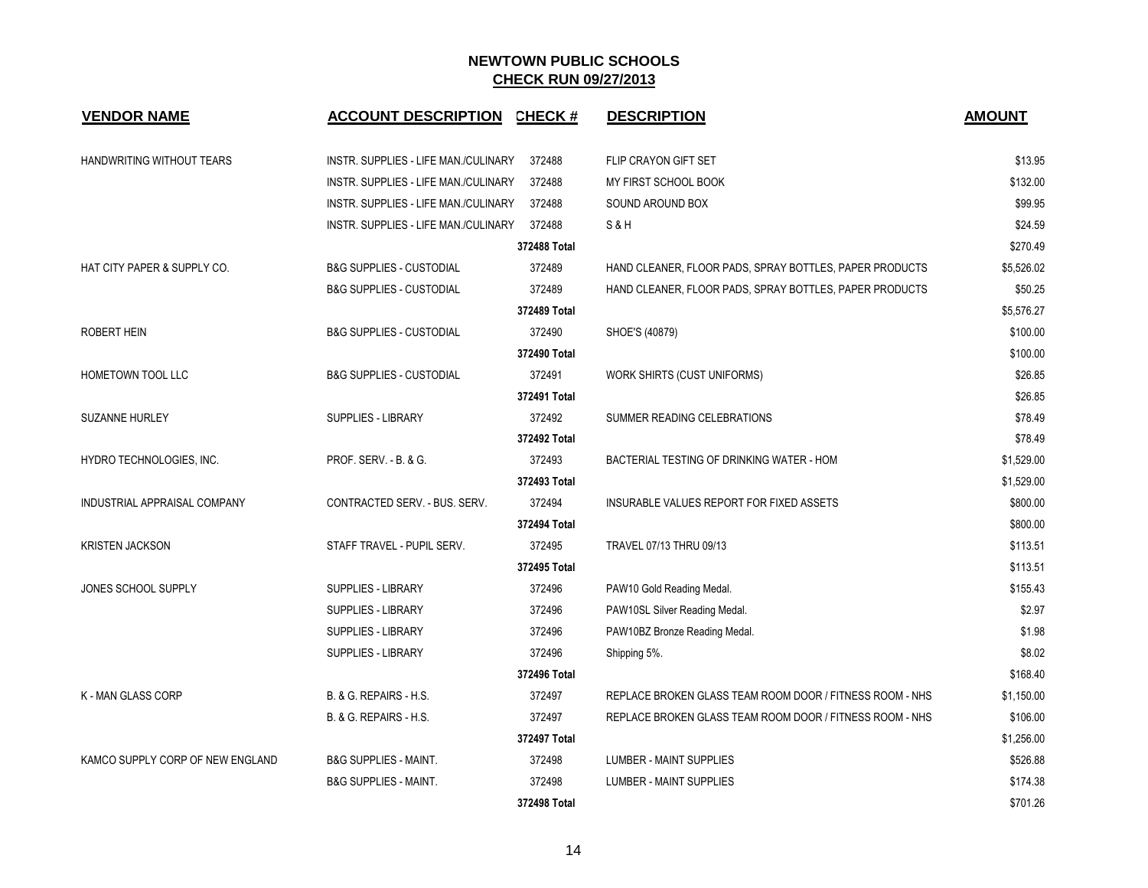| <b>VENDOR NAME</b>               | <b>ACCOUNT DESCRIPTION</b>           | <b>CHECK#</b> | <b>DESCRIPTION</b>                                       | <b>AMOUNT</b> |
|----------------------------------|--------------------------------------|---------------|----------------------------------------------------------|---------------|
| HANDWRITING WITHOUT TEARS        | INSTR. SUPPLIES - LIFE MAN./CULINARY | 372488        | FLIP CRAYON GIFT SET                                     | \$13.95       |
|                                  | INSTR. SUPPLIES - LIFE MAN./CULINARY | 372488        | MY FIRST SCHOOL BOOK                                     | \$132.00      |
|                                  | INSTR. SUPPLIES - LIFE MAN./CULINARY | 372488        | SOUND AROUND BOX                                         | \$99.95       |
|                                  | INSTR. SUPPLIES - LIFE MAN./CULINARY | 372488        | <b>S&amp;H</b>                                           | \$24.59       |
|                                  |                                      | 372488 Total  |                                                          | \$270.49      |
| HAT CITY PAPER & SUPPLY CO.      | <b>B&amp;G SUPPLIES - CUSTODIAL</b>  | 372489        | HAND CLEANER, FLOOR PADS, SPRAY BOTTLES, PAPER PRODUCTS  | \$5,526.02    |
|                                  | <b>B&amp;G SUPPLIES - CUSTODIAL</b>  | 372489        | HAND CLEANER, FLOOR PADS, SPRAY BOTTLES, PAPER PRODUCTS  | \$50.25       |
|                                  |                                      | 372489 Total  |                                                          | \$5,576.27    |
| ROBERT HEIN                      | <b>B&amp;G SUPPLIES - CUSTODIAL</b>  | 372490        | SHOE'S (40879)                                           | \$100.00      |
|                                  |                                      | 372490 Total  |                                                          | \$100.00      |
| HOMETOWN TOOL LLC                | <b>B&amp;G SUPPLIES - CUSTODIAL</b>  | 372491        | WORK SHIRTS (CUST UNIFORMS)                              | \$26.85       |
|                                  |                                      | 372491 Total  |                                                          | \$26.85       |
| <b>SUZANNE HURLEY</b>            | SUPPLIES - LIBRARY                   | 372492        | SUMMER READING CELEBRATIONS                              | \$78.49       |
|                                  |                                      | 372492 Total  |                                                          | \$78.49       |
| HYDRO TECHNOLOGIES, INC.         | PROF. SERV. - B. & G.                | 372493        | BACTERIAL TESTING OF DRINKING WATER - HOM                | \$1,529.00    |
|                                  |                                      | 372493 Total  |                                                          | \$1,529.00    |
| INDUSTRIAL APPRAISAL COMPANY     | CONTRACTED SERV. - BUS. SERV.        | 372494        | INSURABLE VALUES REPORT FOR FIXED ASSETS                 | \$800.00      |
|                                  |                                      | 372494 Total  |                                                          | \$800.00      |
| <b>KRISTEN JACKSON</b>           | STAFF TRAVEL - PUPIL SERV.           | 372495        | TRAVEL 07/13 THRU 09/13                                  | \$113.51      |
|                                  |                                      | 372495 Total  |                                                          | \$113.51      |
| JONES SCHOOL SUPPLY              | <b>SUPPLIES - LIBRARY</b>            | 372496        | PAW10 Gold Reading Medal.                                | \$155.43      |
|                                  | SUPPLIES - LIBRARY                   | 372496        | PAW10SL Silver Reading Medal.                            | \$2.97        |
|                                  | SUPPLIES - LIBRARY                   | 372496        | PAW10BZ Bronze Reading Medal.                            | \$1.98        |
|                                  | SUPPLIES - LIBRARY                   | 372496        | Shipping 5%.                                             | \$8.02        |
|                                  |                                      | 372496 Total  |                                                          | \$168.40      |
| <b>K-MAN GLASS CORP</b>          | B. & G. REPAIRS - H.S.               | 372497        | REPLACE BROKEN GLASS TEAM ROOM DOOR / FITNESS ROOM - NHS | \$1,150.00    |
|                                  | B. & G. REPAIRS - H.S.               | 372497        | REPLACE BROKEN GLASS TEAM ROOM DOOR / FITNESS ROOM - NHS | \$106.00      |
|                                  |                                      | 372497 Total  |                                                          | \$1,256.00    |
| KAMCO SUPPLY CORP OF NEW ENGLAND | <b>B&amp;G SUPPLIES - MAINT.</b>     | 372498        | LUMBER - MAINT SUPPLIES                                  | \$526.88      |
|                                  | <b>B&amp;G SUPPLIES - MAINT.</b>     | 372498        | LUMBER - MAINT SUPPLIES                                  | \$174.38      |
|                                  |                                      | 372498 Total  |                                                          | \$701.26      |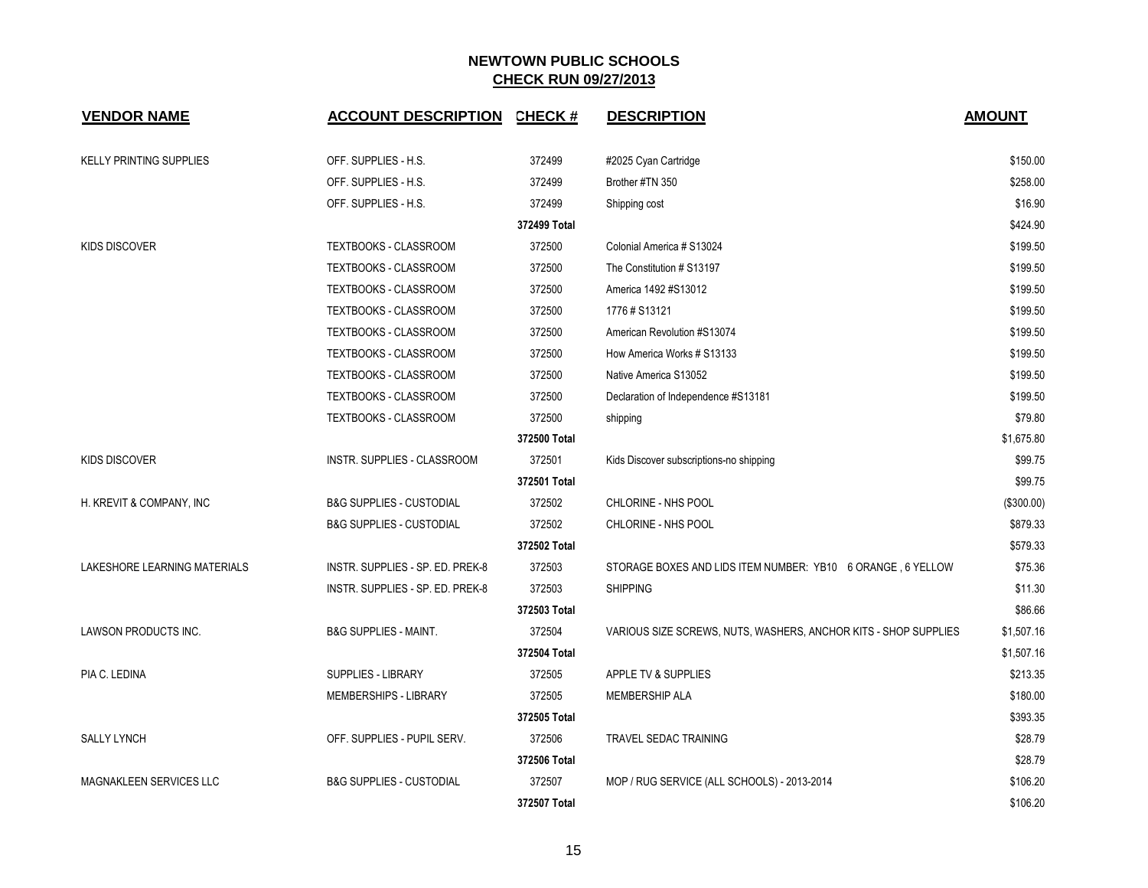| <b>VENDOR NAME</b>             | <b>ACCOUNT DESCRIPTION</b>          | <b>CHECK#</b> | <b>DESCRIPTION</b>                                              | <b>AMOUNT</b> |
|--------------------------------|-------------------------------------|---------------|-----------------------------------------------------------------|---------------|
| <b>KELLY PRINTING SUPPLIES</b> | OFF. SUPPLIES - H.S.                | 372499        | #2025 Cyan Cartridge                                            | \$150.00      |
|                                | OFF. SUPPLIES - H.S.                | 372499        | Brother #TN 350                                                 | \$258.00      |
|                                | OFF. SUPPLIES - H.S.                | 372499        | Shipping cost                                                   | \$16.90       |
|                                |                                     | 372499 Total  |                                                                 | \$424.90      |
| <b>KIDS DISCOVER</b>           | TEXTBOOKS - CLASSROOM               | 372500        | Colonial America # S13024                                       | \$199.50      |
|                                | TEXTBOOKS - CLASSROOM               | 372500        | The Constitution # S13197                                       | \$199.50      |
|                                | TEXTBOOKS - CLASSROOM               | 372500        | America 1492 #S13012                                            | \$199.50      |
|                                | TEXTBOOKS - CLASSROOM               | 372500        | 1776#S13121                                                     | \$199.50      |
|                                | TEXTBOOKS - CLASSROOM               | 372500        | American Revolution #S13074                                     | \$199.50      |
|                                | TEXTBOOKS - CLASSROOM               | 372500        | How America Works # S13133                                      | \$199.50      |
|                                | TEXTBOOKS - CLASSROOM               | 372500        | Native America S13052                                           | \$199.50      |
|                                | TEXTBOOKS - CLASSROOM               | 372500        | Declaration of Independence #S13181                             | \$199.50      |
|                                | TEXTBOOKS - CLASSROOM               | 372500        | shipping                                                        | \$79.80       |
|                                |                                     | 372500 Total  |                                                                 | \$1,675.80    |
| <b>KIDS DISCOVER</b>           | INSTR. SUPPLIES - CLASSROOM         | 372501        | Kids Discover subscriptions-no shipping                         | \$99.75       |
|                                |                                     | 372501 Total  |                                                                 | \$99.75       |
| H. KREVIT & COMPANY, INC       | <b>B&amp;G SUPPLIES - CUSTODIAL</b> | 372502        | CHLORINE - NHS POOL                                             | (\$300.00)    |
|                                | <b>B&amp;G SUPPLIES - CUSTODIAL</b> | 372502        | CHLORINE - NHS POOL                                             | \$879.33      |
|                                |                                     | 372502 Total  |                                                                 | \$579.33      |
| LAKESHORE LEARNING MATERIALS   | INSTR. SUPPLIES - SP. ED. PREK-8    | 372503        | STORAGE BOXES AND LIDS ITEM NUMBER: YB10 6 ORANGE, 6 YELLOW     | \$75.36       |
|                                | INSTR. SUPPLIES - SP. ED. PREK-8    | 372503        | <b>SHIPPING</b>                                                 | \$11.30       |
|                                |                                     | 372503 Total  |                                                                 | \$86.66       |
| LAWSON PRODUCTS INC.           | <b>B&amp;G SUPPLIES - MAINT.</b>    | 372504        | VARIOUS SIZE SCREWS, NUTS, WASHERS, ANCHOR KITS - SHOP SUPPLIES | \$1,507.16    |
|                                |                                     | 372504 Total  |                                                                 | \$1,507.16    |
| PIA C. LEDINA                  | <b>SUPPLIES - LIBRARY</b>           | 372505        | APPLE TV & SUPPLIES                                             | \$213.35      |
|                                | <b>MEMBERSHIPS - LIBRARY</b>        | 372505        | <b>MEMBERSHIP ALA</b>                                           | \$180.00      |
|                                |                                     | 372505 Total  |                                                                 | \$393.35      |
| <b>SALLY LYNCH</b>             | OFF. SUPPLIES - PUPIL SERV.         | 372506        | <b>TRAVEL SEDAC TRAINING</b>                                    | \$28.79       |
|                                |                                     | 372506 Total  |                                                                 | \$28.79       |
| MAGNAKLEEN SERVICES LLC        | <b>B&amp;G SUPPLIES - CUSTODIAL</b> | 372507        | MOP / RUG SERVICE (ALL SCHOOLS) - 2013-2014                     | \$106.20      |
|                                |                                     | 372507 Total  |                                                                 | \$106.20      |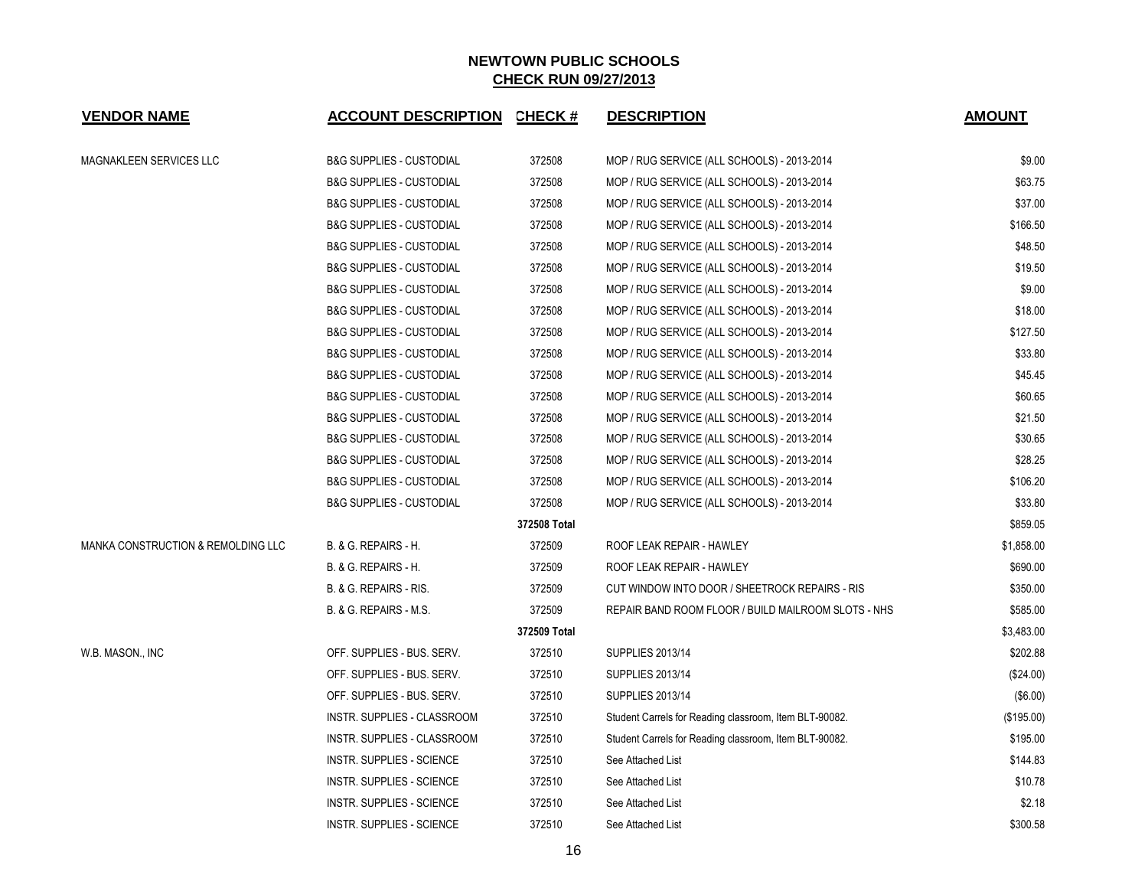| <b>VENDOR NAME</b>                            | <b>ACCOUNT DESCRIPTION CHECK #</b>  |              | <b>DESCRIPTION</b>                                     | <b>AMOUNT</b> |
|-----------------------------------------------|-------------------------------------|--------------|--------------------------------------------------------|---------------|
| MAGNAKLEEN SERVICES LLC                       | <b>B&amp;G SUPPLIES - CUSTODIAL</b> | 372508       | MOP / RUG SERVICE (ALL SCHOOLS) - 2013-2014            | \$9.00        |
|                                               | <b>B&amp;G SUPPLIES - CUSTODIAL</b> | 372508       | MOP / RUG SERVICE (ALL SCHOOLS) - 2013-2014            | \$63.75       |
|                                               | <b>B&amp;G SUPPLIES - CUSTODIAL</b> | 372508       | MOP / RUG SERVICE (ALL SCHOOLS) - 2013-2014            | \$37.00       |
|                                               | <b>B&amp;G SUPPLIES - CUSTODIAL</b> | 372508       | MOP / RUG SERVICE (ALL SCHOOLS) - 2013-2014            | \$166.50      |
|                                               | <b>B&amp;G SUPPLIES - CUSTODIAL</b> | 372508       | MOP / RUG SERVICE (ALL SCHOOLS) - 2013-2014            | \$48.50       |
|                                               | <b>B&amp;G SUPPLIES - CUSTODIAL</b> | 372508       | MOP / RUG SERVICE (ALL SCHOOLS) - 2013-2014            | \$19.50       |
|                                               | <b>B&amp;G SUPPLIES - CUSTODIAL</b> | 372508       | MOP / RUG SERVICE (ALL SCHOOLS) - 2013-2014            | \$9.00        |
|                                               | <b>B&amp;G SUPPLIES - CUSTODIAL</b> | 372508       | MOP / RUG SERVICE (ALL SCHOOLS) - 2013-2014            | \$18.00       |
|                                               | <b>B&amp;G SUPPLIES - CUSTODIAL</b> | 372508       | MOP / RUG SERVICE (ALL SCHOOLS) - 2013-2014            | \$127.50      |
|                                               | <b>B&amp;G SUPPLIES - CUSTODIAL</b> | 372508       | MOP / RUG SERVICE (ALL SCHOOLS) - 2013-2014            | \$33.80       |
|                                               | <b>B&amp;G SUPPLIES - CUSTODIAL</b> | 372508       | MOP / RUG SERVICE (ALL SCHOOLS) - 2013-2014            | \$45.45       |
|                                               | <b>B&amp;G SUPPLIES - CUSTODIAL</b> | 372508       | MOP / RUG SERVICE (ALL SCHOOLS) - 2013-2014            | \$60.65       |
|                                               | <b>B&amp;G SUPPLIES - CUSTODIAL</b> | 372508       | MOP / RUG SERVICE (ALL SCHOOLS) - 2013-2014            | \$21.50       |
|                                               | <b>B&amp;G SUPPLIES - CUSTODIAL</b> | 372508       | MOP / RUG SERVICE (ALL SCHOOLS) - 2013-2014            | \$30.65       |
|                                               | <b>B&amp;G SUPPLIES - CUSTODIAL</b> | 372508       | MOP / RUG SERVICE (ALL SCHOOLS) - 2013-2014            | \$28.25       |
|                                               | <b>B&amp;G SUPPLIES - CUSTODIAL</b> | 372508       | MOP / RUG SERVICE (ALL SCHOOLS) - 2013-2014            | \$106.20      |
|                                               | <b>B&amp;G SUPPLIES - CUSTODIAL</b> | 372508       | MOP / RUG SERVICE (ALL SCHOOLS) - 2013-2014            | \$33.80       |
|                                               |                                     | 372508 Total |                                                        | \$859.05      |
| <b>MANKA CONSTRUCTION &amp; REMOLDING LLC</b> | B. & G. REPAIRS - H.                | 372509       | ROOF LEAK REPAIR - HAWLEY                              | \$1,858.00    |
|                                               | B. & G. REPAIRS - H.                | 372509       | ROOF LEAK REPAIR - HAWLEY                              | \$690.00      |
|                                               | B. & G. REPAIRS - RIS.              | 372509       | CUT WINDOW INTO DOOR / SHEETROCK REPAIRS - RIS         | \$350.00      |
|                                               | B. & G. REPAIRS - M.S.              | 372509       | REPAIR BAND ROOM FLOOR / BUILD MAILROOM SLOTS - NHS    | \$585.00      |
|                                               |                                     | 372509 Total |                                                        | \$3,483.00    |
| W.B. MASON., INC                              | OFF. SUPPLIES - BUS. SERV.          | 372510       | <b>SUPPLIES 2013/14</b>                                | \$202.88      |
|                                               | OFF. SUPPLIES - BUS. SERV.          | 372510       | <b>SUPPLIES 2013/14</b>                                | (\$24.00)     |
|                                               | OFF. SUPPLIES - BUS. SERV.          | 372510       | <b>SUPPLIES 2013/14</b>                                | (\$6.00)      |
|                                               | INSTR. SUPPLIES - CLASSROOM         | 372510       | Student Carrels for Reading classroom, Item BLT-90082. | (\$195.00)    |
|                                               | INSTR. SUPPLIES - CLASSROOM         | 372510       | Student Carrels for Reading classroom, Item BLT-90082. | \$195.00      |
|                                               | <b>INSTR. SUPPLIES - SCIENCE</b>    | 372510       | See Attached List                                      | \$144.83      |
|                                               | INSTR. SUPPLIES - SCIENCE           | 372510       | See Attached List                                      | \$10.78       |
|                                               | INSTR. SUPPLIES - SCIENCE           | 372510       | See Attached List                                      | \$2.18        |
|                                               | INSTR. SUPPLIES - SCIENCE           | 372510       | See Attached List                                      | \$300.58      |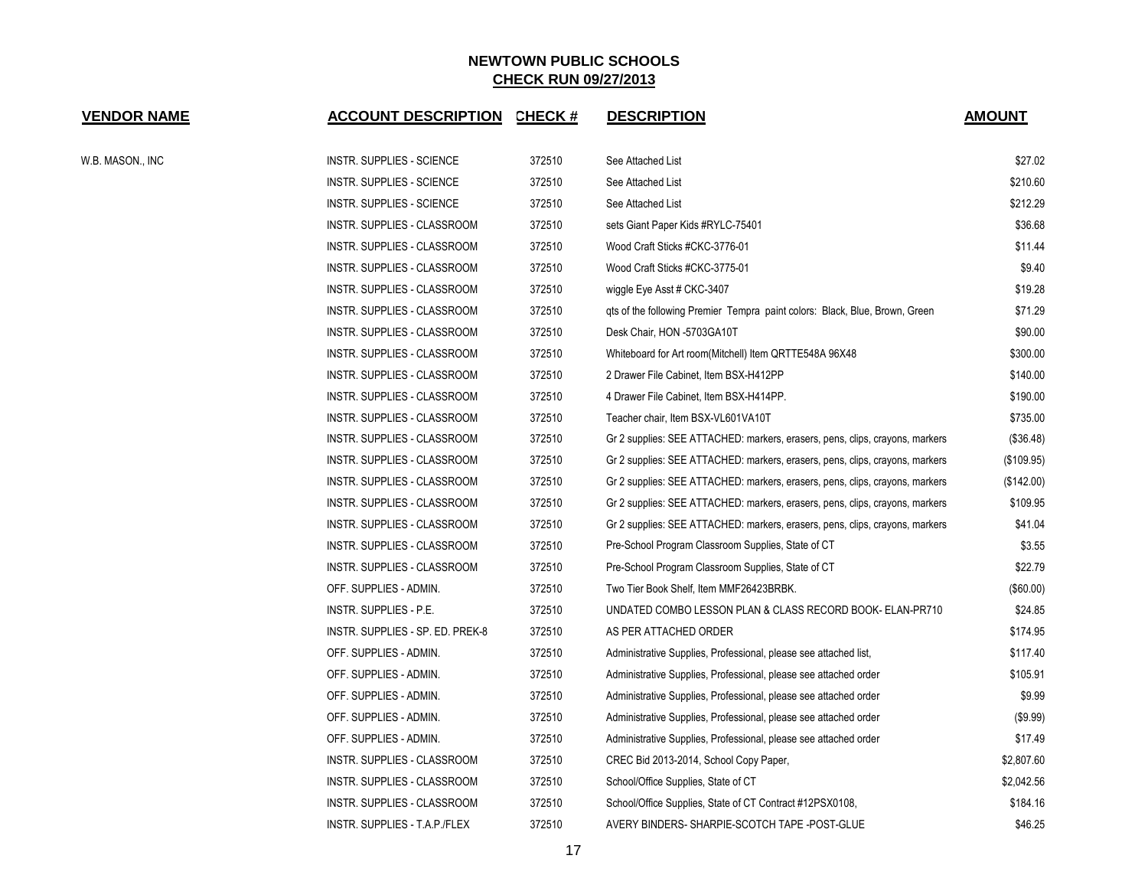| <b>VENDOR NAME</b> | <b>ACCOUNT DESCRIPTION</b>       | <b>CHECK#</b> | <b>DESCRIPTION</b>                                                           | <b>AMOUNT</b> |
|--------------------|----------------------------------|---------------|------------------------------------------------------------------------------|---------------|
| W.B. MASON., INC   | <b>INSTR. SUPPLIES - SCIENCE</b> | 372510        | See Attached List                                                            | \$27.02       |
|                    | <b>INSTR. SUPPLIES - SCIENCE</b> | 372510        | See Attached List                                                            | \$210.60      |
|                    | INSTR. SUPPLIES - SCIENCE        | 372510        | See Attached List                                                            | \$212.29      |
|                    | INSTR. SUPPLIES - CLASSROOM      | 372510        | sets Giant Paper Kids #RYLC-75401                                            | \$36.68       |
|                    | INSTR. SUPPLIES - CLASSROOM      | 372510        | Wood Craft Sticks #CKC-3776-01                                               | \$11.44       |
|                    | INSTR. SUPPLIES - CLASSROOM      | 372510        | Wood Craft Sticks #CKC-3775-01                                               | \$9.40        |
|                    | INSTR. SUPPLIES - CLASSROOM      | 372510        | wiggle Eye Asst # CKC-3407                                                   | \$19.28       |
|                    | INSTR. SUPPLIES - CLASSROOM      | 372510        | gts of the following Premier Tempra paint colors: Black, Blue, Brown, Green  | \$71.29       |
|                    | INSTR. SUPPLIES - CLASSROOM      | 372510        | Desk Chair, HON -5703GA10T                                                   | \$90.00       |
|                    | INSTR. SUPPLIES - CLASSROOM      | 372510        | Whiteboard for Art room(Mitchell) Item QRTTE548A 96X48                       | \$300.00      |
|                    | INSTR. SUPPLIES - CLASSROOM      | 372510        | 2 Drawer File Cabinet, Item BSX-H412PP                                       | \$140.00      |
|                    | INSTR. SUPPLIES - CLASSROOM      | 372510        | 4 Drawer File Cabinet, Item BSX-H414PP.                                      | \$190.00      |
|                    | INSTR. SUPPLIES - CLASSROOM      | 372510        | Teacher chair, Item BSX-VL601VA10T                                           | \$735.00      |
|                    | INSTR. SUPPLIES - CLASSROOM      | 372510        | Gr 2 supplies: SEE ATTACHED: markers, erasers, pens, clips, crayons, markers | (\$36.48)     |
|                    | INSTR. SUPPLIES - CLASSROOM      | 372510        | Gr 2 supplies: SEE ATTACHED: markers, erasers, pens, clips, crayons, markers | (\$109.95)    |
|                    | INSTR. SUPPLIES - CLASSROOM      | 372510        | Gr 2 supplies: SEE ATTACHED: markers, erasers, pens, clips, crayons, markers | (\$142.00)    |
|                    | INSTR. SUPPLIES - CLASSROOM      | 372510        | Gr 2 supplies: SEE ATTACHED: markers, erasers, pens, clips, crayons, markers | \$109.95      |
|                    | INSTR. SUPPLIES - CLASSROOM      | 372510        | Gr 2 supplies: SEE ATTACHED: markers, erasers, pens, clips, crayons, markers | \$41.04       |
|                    | INSTR. SUPPLIES - CLASSROOM      | 372510        | Pre-School Program Classroom Supplies, State of CT                           | \$3.55        |
|                    | INSTR. SUPPLIES - CLASSROOM      | 372510        | Pre-School Program Classroom Supplies, State of CT                           | \$22.79       |
|                    | OFF. SUPPLIES - ADMIN.           | 372510        | Two Tier Book Shelf, Item MMF26423BRBK.                                      | (\$60.00)     |
|                    | INSTR. SUPPLIES - P.E.           | 372510        | UNDATED COMBO LESSON PLAN & CLASS RECORD BOOK- ELAN-PR710                    | \$24.85       |
|                    | INSTR. SUPPLIES - SP. ED. PREK-8 | 372510        | AS PER ATTACHED ORDER                                                        | \$174.95      |
|                    | OFF. SUPPLIES - ADMIN.           | 372510        | Administrative Supplies, Professional, please see attached list,             | \$117.40      |
|                    | OFF. SUPPLIES - ADMIN.           | 372510        | Administrative Supplies, Professional, please see attached order             | \$105.91      |
|                    | OFF. SUPPLIES - ADMIN.           | 372510        | Administrative Supplies, Professional, please see attached order             | \$9.99        |
|                    | OFF. SUPPLIES - ADMIN.           | 372510        | Administrative Supplies, Professional, please see attached order             | (\$9.99)      |
|                    | OFF. SUPPLIES - ADMIN.           | 372510        | Administrative Supplies, Professional, please see attached order             | \$17.49       |
|                    | INSTR. SUPPLIES - CLASSROOM      | 372510        | CREC Bid 2013-2014, School Copy Paper,                                       | \$2,807.60    |
|                    | INSTR. SUPPLIES - CLASSROOM      | 372510        | School/Office Supplies, State of CT                                          | \$2,042.56    |
|                    | INSTR. SUPPLIES - CLASSROOM      | 372510        | School/Office Supplies, State of CT Contract #12PSX0108,                     | \$184.16      |
|                    | INSTR. SUPPLIES - T.A.P./FLEX    | 372510        | AVERY BINDERS- SHARPIE-SCOTCH TAPE -POST-GLUE                                | \$46.25       |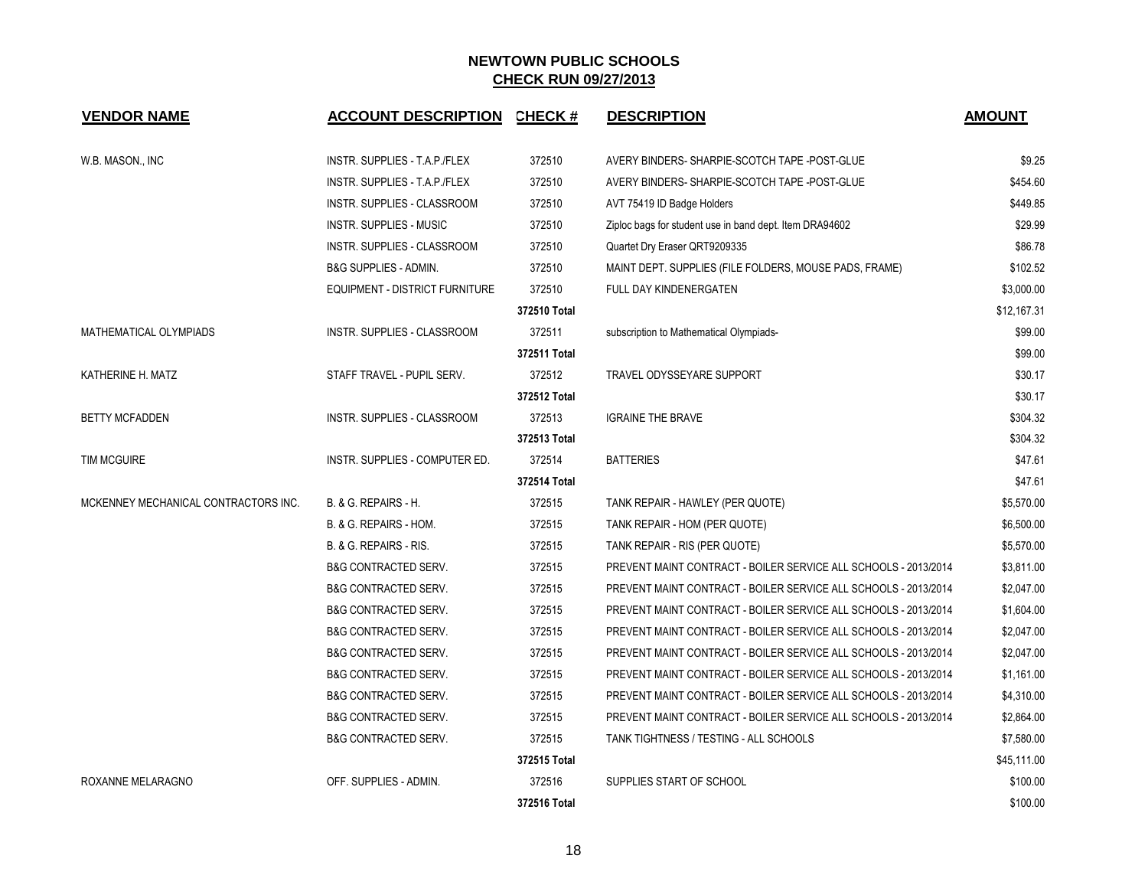| <b>VENDOR NAME</b>                   | <b>ACCOUNT DESCRIPTION</b>         | <b>CHECK#</b> | <b>DESCRIPTION</b>                                              | <b>AMOUNT</b> |
|--------------------------------------|------------------------------------|---------------|-----------------------------------------------------------------|---------------|
| W.B. MASON., INC                     | INSTR. SUPPLIES - T.A.P./FLEX      | 372510        | AVERY BINDERS- SHARPIE-SCOTCH TAPE -POST-GLUE                   | \$9.25        |
|                                      | INSTR. SUPPLIES - T.A.P./FLEX      | 372510        | AVERY BINDERS- SHARPIE-SCOTCH TAPE -POST-GLUE                   | \$454.60      |
|                                      | <b>INSTR. SUPPLIES - CLASSROOM</b> | 372510        | AVT 75419 ID Badge Holders                                      | \$449.85      |
|                                      | <b>INSTR. SUPPLIES - MUSIC</b>     | 372510        | Ziploc bags for student use in band dept. Item DRA94602         | \$29.99       |
|                                      | INSTR. SUPPLIES - CLASSROOM        | 372510        | Quartet Dry Eraser QRT9209335                                   | \$86.78       |
|                                      | <b>B&amp;G SUPPLIES - ADMIN.</b>   | 372510        | MAINT DEPT. SUPPLIES (FILE FOLDERS, MOUSE PADS, FRAME)          | \$102.52      |
|                                      | EQUIPMENT - DISTRICT FURNITURE     | 372510        | FULL DAY KINDENERGATEN                                          | \$3,000.00    |
|                                      |                                    | 372510 Total  |                                                                 | \$12,167.31   |
| MATHEMATICAL OLYMPIADS               | INSTR. SUPPLIES - CLASSROOM        | 372511        | subscription to Mathematical Olympiads-                         | \$99.00       |
|                                      |                                    | 372511 Total  |                                                                 | \$99.00       |
| KATHERINE H. MATZ                    | STAFF TRAVEL - PUPIL SERV.         | 372512        | TRAVEL ODYSSEYARE SUPPORT                                       | \$30.17       |
|                                      |                                    | 372512 Total  |                                                                 | \$30.17       |
| <b>BETTY MCFADDEN</b>                | INSTR. SUPPLIES - CLASSROOM        | 372513        | <b>IGRAINE THE BRAVE</b>                                        | \$304.32      |
|                                      |                                    | 372513 Total  |                                                                 | \$304.32      |
| <b>TIM MCGUIRE</b>                   | INSTR. SUPPLIES - COMPUTER ED.     | 372514        | <b>BATTERIES</b>                                                | \$47.61       |
|                                      |                                    | 372514 Total  |                                                                 | \$47.61       |
| MCKENNEY MECHANICAL CONTRACTORS INC. | <b>B. &amp; G. REPAIRS - H.</b>    | 372515        | TANK REPAIR - HAWLEY (PER QUOTE)                                | \$5,570.00    |
|                                      | B. & G. REPAIRS - HOM.             | 372515        | TANK REPAIR - HOM (PER QUOTE)                                   | \$6,500.00    |
|                                      | B. & G. REPAIRS - RIS.             | 372515        | TANK REPAIR - RIS (PER QUOTE)                                   | \$5,570.00    |
|                                      | <b>B&amp;G CONTRACTED SERV.</b>    | 372515        | PREVENT MAINT CONTRACT - BOILER SERVICE ALL SCHOOLS - 2013/2014 | \$3,811.00    |
|                                      | <b>B&amp;G CONTRACTED SERV.</b>    | 372515        | PREVENT MAINT CONTRACT - BOILER SERVICE ALL SCHOOLS - 2013/2014 | \$2,047.00    |
|                                      | <b>B&amp;G CONTRACTED SERV.</b>    | 372515        | PREVENT MAINT CONTRACT - BOILER SERVICE ALL SCHOOLS - 2013/2014 | \$1,604.00    |
|                                      | <b>B&amp;G CONTRACTED SERV.</b>    | 372515        | PREVENT MAINT CONTRACT - BOILER SERVICE ALL SCHOOLS - 2013/2014 | \$2,047.00    |
|                                      | <b>B&amp;G CONTRACTED SERV.</b>    | 372515        | PREVENT MAINT CONTRACT - BOILER SERVICE ALL SCHOOLS - 2013/2014 | \$2,047.00    |
|                                      | <b>B&amp;G CONTRACTED SERV.</b>    | 372515        | PREVENT MAINT CONTRACT - BOILER SERVICE ALL SCHOOLS - 2013/2014 | \$1,161.00    |
|                                      | <b>B&amp;G CONTRACTED SERV.</b>    | 372515        | PREVENT MAINT CONTRACT - BOILER SERVICE ALL SCHOOLS - 2013/2014 | \$4,310.00    |
|                                      | <b>B&amp;G CONTRACTED SERV.</b>    | 372515        | PREVENT MAINT CONTRACT - BOILER SERVICE ALL SCHOOLS - 2013/2014 | \$2,864.00    |
|                                      | <b>B&amp;G CONTRACTED SERV.</b>    | 372515        | TANK TIGHTNESS / TESTING - ALL SCHOOLS                          | \$7,580.00    |
|                                      |                                    | 372515 Total  |                                                                 | \$45,111.00   |
| ROXANNE MELARAGNO                    | OFF. SUPPLIES - ADMIN.             | 372516        | SUPPLIES START OF SCHOOL                                        | \$100.00      |
|                                      |                                    | 372516 Total  |                                                                 | \$100.00      |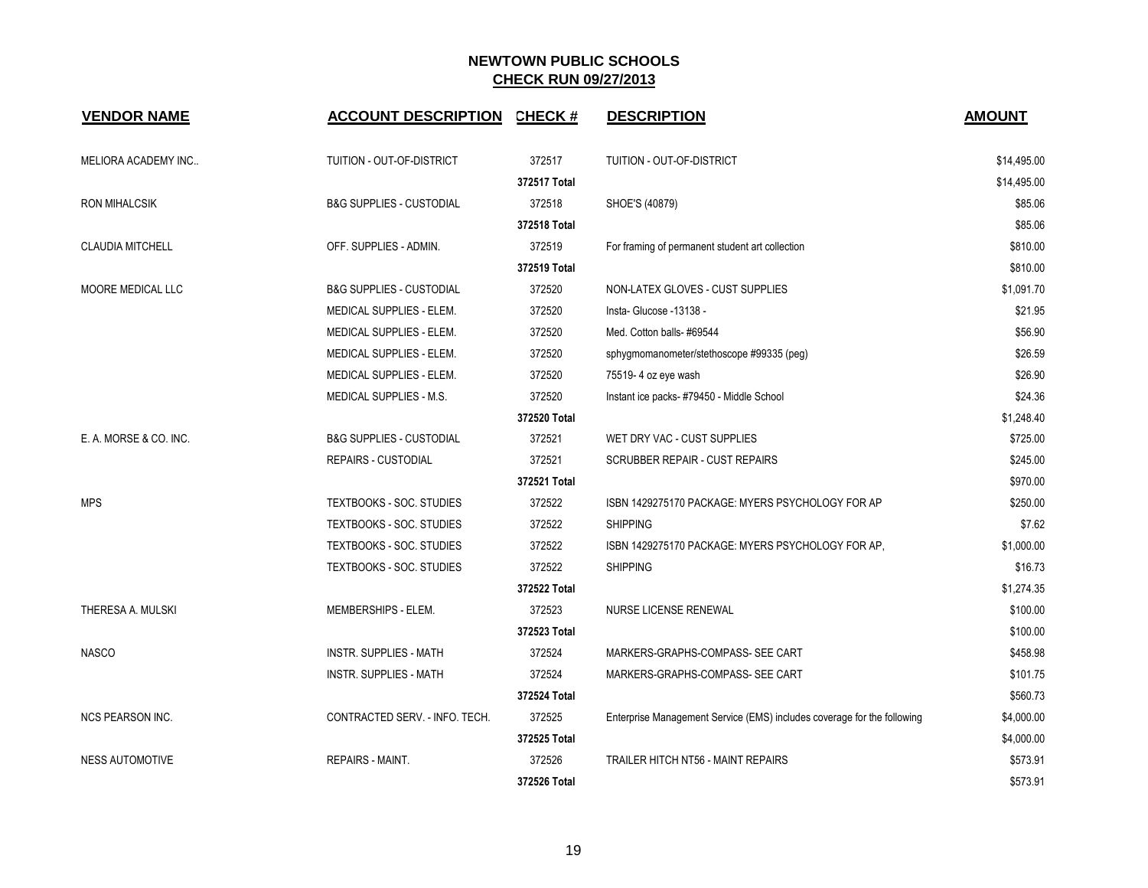| <b>VENDOR NAME</b>      | <b>ACCOUNT DESCRIPTION</b>          | <b>CHECK#</b> | <b>DESCRIPTION</b>                                                      | <b>AMOUNT</b> |
|-------------------------|-------------------------------------|---------------|-------------------------------------------------------------------------|---------------|
| MELIORA ACADEMY INC     | TUITION - OUT-OF-DISTRICT           | 372517        | TUITION - OUT-OF-DISTRICT                                               | \$14,495.00   |
|                         |                                     | 372517 Total  |                                                                         | \$14,495.00   |
| <b>RON MIHALCSIK</b>    | <b>B&amp;G SUPPLIES - CUSTODIAL</b> | 372518        | SHOE'S (40879)                                                          | \$85.06       |
|                         |                                     | 372518 Total  |                                                                         | \$85.06       |
| <b>CLAUDIA MITCHELL</b> | OFF. SUPPLIES - ADMIN.              | 372519        | For framing of permanent student art collection                         | \$810.00      |
|                         |                                     | 372519 Total  |                                                                         | \$810.00      |
| MOORE MEDICAL LLC       | <b>B&amp;G SUPPLIES - CUSTODIAL</b> | 372520        | NON-LATEX GLOVES - CUST SUPPLIES                                        | \$1,091.70    |
|                         | MEDICAL SUPPLIES - ELEM.            | 372520        | Insta- Glucose -13138 -                                                 | \$21.95       |
|                         | MEDICAL SUPPLIES - ELEM.            | 372520        | Med. Cotton balls- #69544                                               | \$56.90       |
|                         | MEDICAL SUPPLIES - ELEM.            | 372520        | sphygmomanometer/stethoscope #99335 (peg)                               | \$26.59       |
|                         | MEDICAL SUPPLIES - ELEM.            | 372520        | 75519-4 oz eye wash                                                     | \$26.90       |
|                         | MEDICAL SUPPLIES - M.S.             | 372520        | Instant ice packs-#79450 - Middle School                                | \$24.36       |
|                         |                                     | 372520 Total  |                                                                         | \$1,248.40    |
| E. A. MORSE & CO. INC.  | <b>B&amp;G SUPPLIES - CUSTODIAL</b> | 372521        | WET DRY VAC - CUST SUPPLIES                                             | \$725.00      |
|                         | <b>REPAIRS - CUSTODIAL</b>          | 372521        | <b>SCRUBBER REPAIR - CUST REPAIRS</b>                                   | \$245.00      |
|                         |                                     | 372521 Total  |                                                                         | \$970.00      |
| <b>MPS</b>              | TEXTBOOKS - SOC. STUDIES            | 372522        | ISBN 1429275170 PACKAGE: MYERS PSYCHOLOGY FOR AP                        | \$250.00      |
|                         | TEXTBOOKS - SOC. STUDIES            | 372522        | <b>SHIPPING</b>                                                         | \$7.62        |
|                         | TEXTBOOKS - SOC. STUDIES            | 372522        | ISBN 1429275170 PACKAGE: MYERS PSYCHOLOGY FOR AP.                       | \$1,000.00    |
|                         | TEXTBOOKS - SOC. STUDIES            | 372522        | <b>SHIPPING</b>                                                         | \$16.73       |
|                         |                                     | 372522 Total  |                                                                         | \$1,274.35    |
| THERESA A. MULSKI       | MEMBERSHIPS - ELEM.                 | 372523        | NURSE LICENSE RENEWAL                                                   | \$100.00      |
|                         |                                     | 372523 Total  |                                                                         | \$100.00      |
| <b>NASCO</b>            | INSTR. SUPPLIES - MATH              | 372524        | MARKERS-GRAPHS-COMPASS- SEE CART                                        | \$458.98      |
|                         | <b>INSTR. SUPPLIES - MATH</b>       | 372524        | MARKERS-GRAPHS-COMPASS- SEE CART                                        | \$101.75      |
|                         |                                     | 372524 Total  |                                                                         | \$560.73      |
| <b>NCS PEARSON INC.</b> | CONTRACTED SERV. - INFO. TECH.      | 372525        | Enterprise Management Service (EMS) includes coverage for the following | \$4,000.00    |
|                         |                                     | 372525 Total  |                                                                         | \$4,000.00    |
| <b>NESS AUTOMOTIVE</b>  | REPAIRS - MAINT.                    | 372526        | TRAILER HITCH NT56 - MAINT REPAIRS                                      | \$573.91      |
|                         |                                     | 372526 Total  |                                                                         | \$573.91      |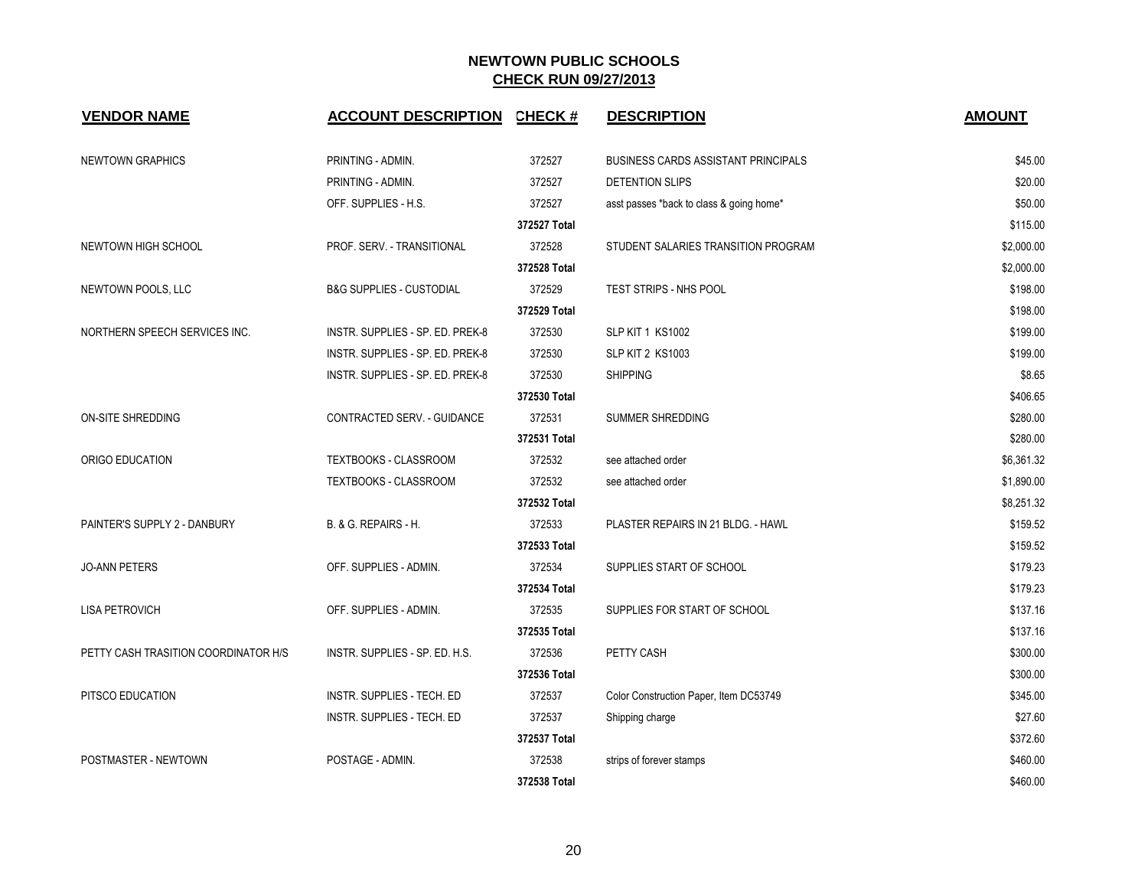| <b>VENDOR NAME</b>                   | <b>ACCOUNT DESCRIPTION</b>          | <b>CHECK#</b> | <b>DESCRIPTION</b>                         | <b>AMOUNT</b> |
|--------------------------------------|-------------------------------------|---------------|--------------------------------------------|---------------|
| <b>NEWTOWN GRAPHICS</b>              | PRINTING - ADMIN.                   | 372527        | <b>BUSINESS CARDS ASSISTANT PRINCIPALS</b> | \$45.00       |
|                                      | PRINTING - ADMIN.                   | 372527        | DETENTION SLIPS                            | \$20.00       |
|                                      | OFF. SUPPLIES - H.S.                | 372527        | asst passes *back to class & going home*   | \$50.00       |
|                                      |                                     | 372527 Total  |                                            | \$115.00      |
| NEWTOWN HIGH SCHOOL                  | PROF. SERV. - TRANSITIONAL          | 372528        | STUDENT SALARIES TRANSITION PROGRAM        | \$2,000.00    |
|                                      |                                     | 372528 Total  |                                            | \$2,000.00    |
| NEWTOWN POOLS, LLC                   | <b>B&amp;G SUPPLIES - CUSTODIAL</b> | 372529        | TEST STRIPS - NHS POOL                     | \$198.00      |
|                                      |                                     | 372529 Total  |                                            | \$198.00      |
| NORTHERN SPEECH SERVICES INC.        | INSTR. SUPPLIES - SP. ED. PREK-8    | 372530        | <b>SLP KIT 1 KS1002</b>                    | \$199.00      |
|                                      | INSTR. SUPPLIES - SP. ED. PREK-8    | 372530        | <b>SLP KIT 2 KS1003</b>                    | \$199.00      |
|                                      | INSTR. SUPPLIES - SP. ED. PREK-8    | 372530        | <b>SHIPPING</b>                            | \$8.65        |
|                                      |                                     | 372530 Total  |                                            | \$406.65      |
| <b>ON-SITE SHREDDING</b>             | CONTRACTED SERV. - GUIDANCE         | 372531        | SUMMER SHREDDING                           | \$280.00      |
|                                      |                                     | 372531 Total  |                                            | \$280.00      |
| ORIGO EDUCATION                      | TEXTBOOKS - CLASSROOM               | 372532        | see attached order                         | \$6,361.32    |
|                                      | TEXTBOOKS - CLASSROOM               | 372532        | see attached order                         | \$1,890.00    |
|                                      |                                     | 372532 Total  |                                            | \$8,251.32    |
| PAINTER'S SUPPLY 2 - DANBURY         | <b>B. &amp; G. REPAIRS - H.</b>     | 372533        | PLASTER REPAIRS IN 21 BLDG. - HAWL         | \$159.52      |
|                                      |                                     | 372533 Total  |                                            | \$159.52      |
| <b>JO-ANN PETERS</b>                 | OFF. SUPPLIES - ADMIN.              | 372534        | SUPPLIES START OF SCHOOL                   | \$179.23      |
|                                      |                                     | 372534 Total  |                                            | \$179.23      |
| <b>LISA PETROVICH</b>                | OFF. SUPPLIES - ADMIN.              | 372535        | SUPPLIES FOR START OF SCHOOL               | \$137.16      |
|                                      |                                     | 372535 Total  |                                            | \$137.16      |
| PETTY CASH TRASITION COORDINATOR H/S | INSTR. SUPPLIES - SP. ED. H.S.      | 372536        | PETTY CASH                                 | \$300.00      |
|                                      |                                     | 372536 Total  |                                            | \$300.00      |
| PITSCO EDUCATION                     | INSTR. SUPPLIES - TECH. ED          | 372537        | Color Construction Paper, Item DC53749     | \$345.00      |
|                                      | INSTR. SUPPLIES - TECH. ED          | 372537        | Shipping charge                            | \$27.60       |
|                                      |                                     | 372537 Total  |                                            | \$372.60      |
| POSTMASTER - NEWTOWN                 | POSTAGE - ADMIN.                    | 372538        | strips of forever stamps                   | \$460.00      |
|                                      |                                     | 372538 Total  |                                            | \$460.00      |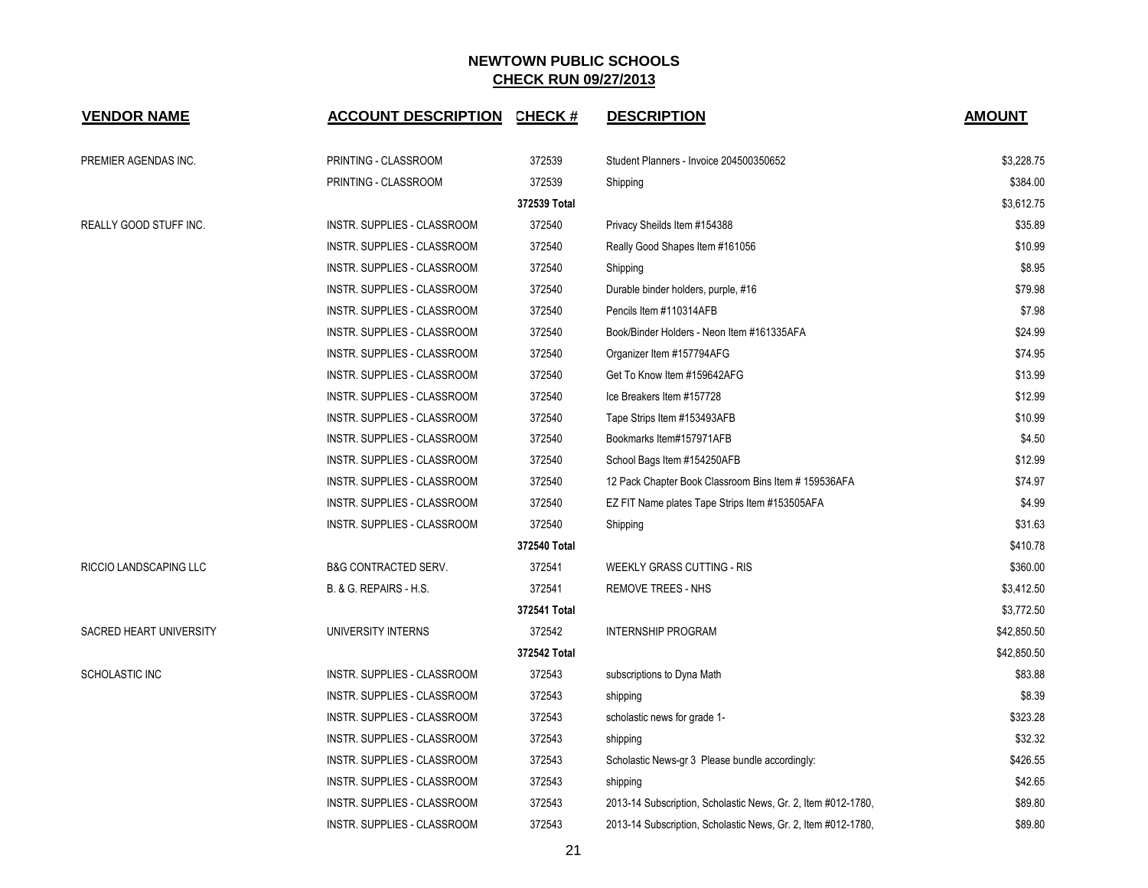| <b>VENDOR NAME</b>      | <b>ACCOUNT DESCRIPTION</b>      | CHECK #      | <b>DESCRIPTION</b>                                            | <b>AMOUNT</b> |
|-------------------------|---------------------------------|--------------|---------------------------------------------------------------|---------------|
| PREMIER AGENDAS INC.    | PRINTING - CLASSROOM            | 372539       | Student Planners - Invoice 204500350652                       | \$3,228.75    |
|                         | PRINTING - CLASSROOM            | 372539       | Shipping                                                      | \$384.00      |
|                         |                                 | 372539 Total |                                                               | \$3,612.75    |
| REALLY GOOD STUFF INC.  | INSTR. SUPPLIES - CLASSROOM     | 372540       | Privacy Sheilds Item #154388                                  | \$35.89       |
|                         | INSTR. SUPPLIES - CLASSROOM     | 372540       | Really Good Shapes Item #161056                               | \$10.99       |
|                         | INSTR. SUPPLIES - CLASSROOM     | 372540       | Shipping                                                      | \$8.95        |
|                         | INSTR. SUPPLIES - CLASSROOM     | 372540       | Durable binder holders, purple, #16                           | \$79.98       |
|                         | INSTR. SUPPLIES - CLASSROOM     | 372540       | Pencils Item #110314AFB                                       | \$7.98        |
|                         | INSTR. SUPPLIES - CLASSROOM     | 372540       | Book/Binder Holders - Neon Item #161335AFA                    | \$24.99       |
|                         | INSTR. SUPPLIES - CLASSROOM     | 372540       | Organizer Item #157794AFG                                     | \$74.95       |
|                         | INSTR. SUPPLIES - CLASSROOM     | 372540       | Get To Know Item #159642AFG                                   | \$13.99       |
|                         | INSTR. SUPPLIES - CLASSROOM     | 372540       | Ice Breakers Item #157728                                     | \$12.99       |
|                         | INSTR. SUPPLIES - CLASSROOM     | 372540       | Tape Strips Item #153493AFB                                   | \$10.99       |
|                         | INSTR. SUPPLIES - CLASSROOM     | 372540       | Bookmarks Item#157971AFB                                      | \$4.50        |
|                         | INSTR. SUPPLIES - CLASSROOM     | 372540       | School Bags Item #154250AFB                                   | \$12.99       |
|                         | INSTR. SUPPLIES - CLASSROOM     | 372540       | 12 Pack Chapter Book Classroom Bins Item # 159536AFA          | \$74.97       |
|                         | INSTR. SUPPLIES - CLASSROOM     | 372540       | EZ FIT Name plates Tape Strips Item #153505AFA                | \$4.99        |
|                         | INSTR. SUPPLIES - CLASSROOM     | 372540       | Shipping                                                      | \$31.63       |
|                         |                                 | 372540 Total |                                                               | \$410.78      |
| RICCIO LANDSCAPING LLC  | <b>B&amp;G CONTRACTED SERV.</b> | 372541       | <b>WEEKLY GRASS CUTTING - RIS</b>                             | \$360.00      |
|                         | B. & G. REPAIRS - H.S.          | 372541       | <b>REMOVE TREES - NHS</b>                                     | \$3,412.50    |
|                         |                                 | 372541 Total |                                                               | \$3,772.50    |
| SACRED HEART UNIVERSITY | UNIVERSITY INTERNS              | 372542       | <b>INTERNSHIP PROGRAM</b>                                     | \$42,850.50   |
|                         |                                 | 372542 Total |                                                               | \$42,850.50   |
| SCHOLASTIC INC          | INSTR. SUPPLIES - CLASSROOM     | 372543       | subscriptions to Dyna Math                                    | \$83.88       |
|                         | INSTR. SUPPLIES - CLASSROOM     | 372543       | shipping                                                      | \$8.39        |
|                         | INSTR. SUPPLIES - CLASSROOM     | 372543       | scholastic news for grade 1-                                  | \$323.28      |
|                         | INSTR. SUPPLIES - CLASSROOM     | 372543       | shipping                                                      | \$32.32       |
|                         | INSTR. SUPPLIES - CLASSROOM     | 372543       | Scholastic News-gr 3 Please bundle accordingly:               | \$426.55      |
|                         | INSTR. SUPPLIES - CLASSROOM     | 372543       | shipping                                                      | \$42.65       |
|                         | INSTR. SUPPLIES - CLASSROOM     | 372543       | 2013-14 Subscription, Scholastic News, Gr. 2, Item #012-1780, | \$89.80       |
|                         | INSTR. SUPPLIES - CLASSROOM     | 372543       | 2013-14 Subscription, Scholastic News, Gr. 2, Item #012-1780, | \$89.80       |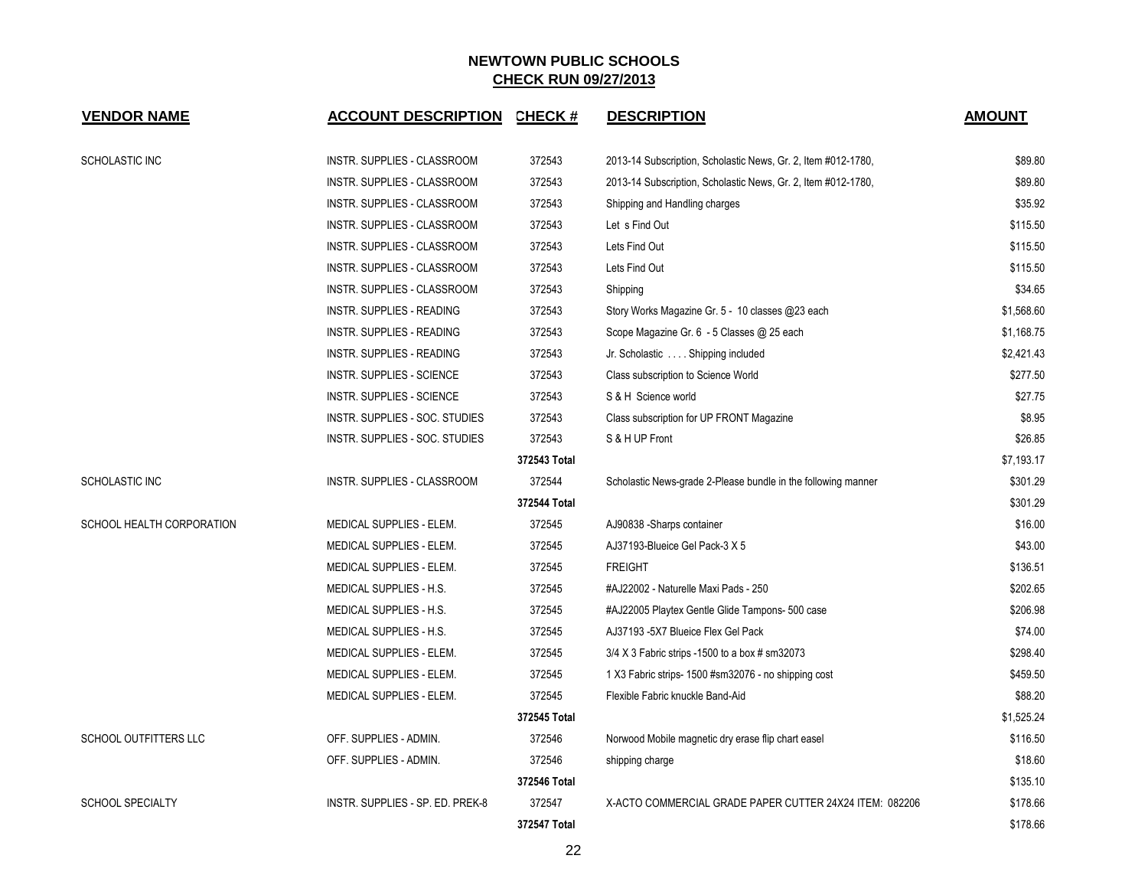| <b>VENDOR NAME</b>        | <b>ACCOUNT DESCRIPTION</b>       | CHECK #      | <b>DESCRIPTION</b>                                            | <b>AMOUNT</b> |
|---------------------------|----------------------------------|--------------|---------------------------------------------------------------|---------------|
| SCHOLASTIC INC            | INSTR. SUPPLIES - CLASSROOM      | 372543       | 2013-14 Subscription, Scholastic News, Gr. 2, Item #012-1780, | \$89.80       |
|                           | INSTR. SUPPLIES - CLASSROOM      | 372543       | 2013-14 Subscription, Scholastic News, Gr. 2, Item #012-1780, | \$89.80       |
|                           | INSTR. SUPPLIES - CLASSROOM      | 372543       | Shipping and Handling charges                                 | \$35.92       |
|                           | INSTR. SUPPLIES - CLASSROOM      | 372543       | Let s Find Out                                                | \$115.50      |
|                           | INSTR. SUPPLIES - CLASSROOM      | 372543       | Lets Find Out                                                 | \$115.50      |
|                           | INSTR. SUPPLIES - CLASSROOM      | 372543       | Lets Find Out                                                 | \$115.50      |
|                           | INSTR. SUPPLIES - CLASSROOM      | 372543       | Shipping                                                      | \$34.65       |
|                           | INSTR. SUPPLIES - READING        | 372543       | Story Works Magazine Gr. 5 - 10 classes @23 each              | \$1,568.60    |
|                           | INSTR. SUPPLIES - READING        | 372543       | Scope Magazine Gr. 6 - 5 Classes @ 25 each                    | \$1,168.75    |
|                           | INSTR. SUPPLIES - READING        | 372543       | Jr. Scholastic Shipping included                              | \$2,421.43    |
|                           | INSTR. SUPPLIES - SCIENCE        | 372543       | Class subscription to Science World                           | \$277.50      |
|                           | INSTR. SUPPLIES - SCIENCE        | 372543       | S & H Science world                                           | \$27.75       |
|                           | INSTR. SUPPLIES - SOC. STUDIES   | 372543       | Class subscription for UP FRONT Magazine                      | \$8.95        |
|                           | INSTR. SUPPLIES - SOC. STUDIES   | 372543       | S & H UP Front                                                | \$26.85       |
|                           |                                  | 372543 Total |                                                               | \$7,193.17    |
| SCHOLASTIC INC            | INSTR. SUPPLIES - CLASSROOM      | 372544       | Scholastic News-grade 2-Please bundle in the following manner | \$301.29      |
|                           |                                  | 372544 Total |                                                               | \$301.29      |
| SCHOOL HEALTH CORPORATION | MEDICAL SUPPLIES - ELEM.         | 372545       | AJ90838 -Sharps container                                     | \$16.00       |
|                           | MEDICAL SUPPLIES - ELEM.         | 372545       | AJ37193-Blueice Gel Pack-3 X 5                                | \$43.00       |
|                           | MEDICAL SUPPLIES - ELEM.         | 372545       | <b>FREIGHT</b>                                                | \$136.51      |
|                           | MEDICAL SUPPLIES - H.S.          | 372545       | #AJ22002 - Naturelle Maxi Pads - 250                          | \$202.65      |
|                           | MEDICAL SUPPLIES - H.S.          | 372545       | #AJ22005 Playtex Gentle Glide Tampons- 500 case               | \$206.98      |
|                           | MEDICAL SUPPLIES - H.S.          | 372545       | AJ37193 -5X7 Blueice Flex Gel Pack                            | \$74.00       |
|                           | MEDICAL SUPPLIES - ELEM.         | 372545       | $3/4$ X 3 Fabric strips -1500 to a box # sm32073              | \$298.40      |
|                           | MEDICAL SUPPLIES - ELEM.         | 372545       | 1 X3 Fabric strips- 1500 #sm32076 - no shipping cost          | \$459.50      |
|                           | MEDICAL SUPPLIES - ELEM.         | 372545       | Flexible Fabric knuckle Band-Aid                              | \$88.20       |
|                           |                                  | 372545 Total |                                                               | \$1,525.24    |
| SCHOOL OUTFITTERS LLC     | OFF. SUPPLIES - ADMIN.           | 372546       | Norwood Mobile magnetic dry erase flip chart easel            | \$116.50      |
|                           | OFF. SUPPLIES - ADMIN.           | 372546       | shipping charge                                               | \$18.60       |
|                           |                                  | 372546 Total |                                                               | \$135.10      |
| <b>SCHOOL SPECIALTY</b>   | INSTR. SUPPLIES - SP. ED. PREK-8 | 372547       | X-ACTO COMMERCIAL GRADE PAPER CUTTER 24X24 ITEM: 082206       | \$178.66      |
|                           |                                  | 372547 Total |                                                               | \$178.66      |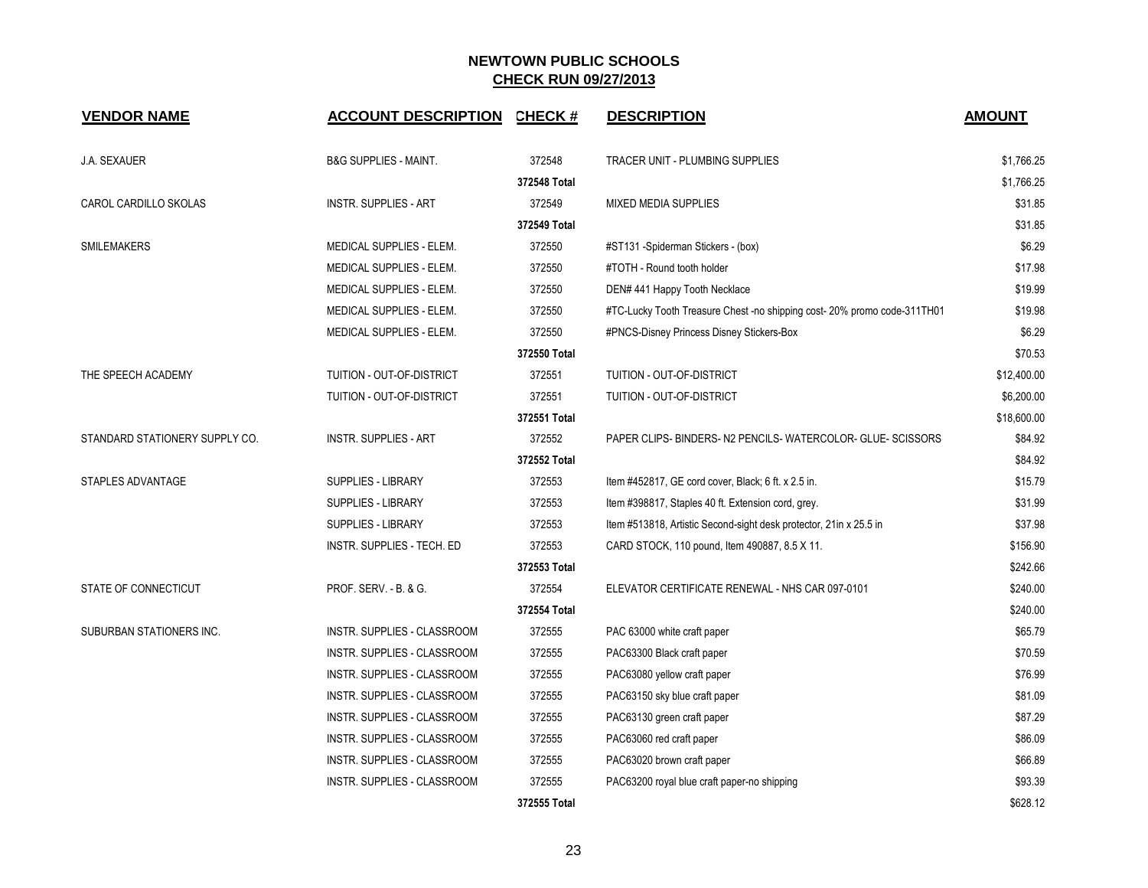| <b>VENDOR NAME</b>             | <b>ACCOUNT DESCRIPTION</b>       | <b>CHECK#</b> | <b>DESCRIPTION</b>                                                       | <b>AMOUNT</b> |
|--------------------------------|----------------------------------|---------------|--------------------------------------------------------------------------|---------------|
| <b>J.A. SEXAUER</b>            | <b>B&amp;G SUPPLIES - MAINT.</b> | 372548        | TRACER UNIT - PLUMBING SUPPLIES                                          | \$1,766.25    |
|                                |                                  | 372548 Total  |                                                                          | \$1,766.25    |
| CAROL CARDILLO SKOLAS          | <b>INSTR. SUPPLIES - ART</b>     | 372549        | <b>MIXED MEDIA SUPPLIES</b>                                              | \$31.85       |
|                                |                                  | 372549 Total  |                                                                          | \$31.85       |
| <b>SMILEMAKERS</b>             | MEDICAL SUPPLIES - ELEM.         | 372550        | #ST131 -Spiderman Stickers - (box)                                       | \$6.29        |
|                                | MEDICAL SUPPLIES - ELEM.         | 372550        | #TOTH - Round tooth holder                                               | \$17.98       |
|                                | MEDICAL SUPPLIES - ELEM.         | 372550        | DEN# 441 Happy Tooth Necklace                                            | \$19.99       |
|                                | MEDICAL SUPPLIES - ELEM.         | 372550        | #TC-Lucky Tooth Treasure Chest -no shipping cost- 20% promo code-311TH01 | \$19.98       |
|                                | MEDICAL SUPPLIES - ELEM.         | 372550        | #PNCS-Disney Princess Disney Stickers-Box                                | \$6.29        |
|                                |                                  | 372550 Total  |                                                                          | \$70.53       |
| THE SPEECH ACADEMY             | TUITION - OUT-OF-DISTRICT        | 372551        | TUITION - OUT-OF-DISTRICT                                                | \$12,400.00   |
|                                | TUITION - OUT-OF-DISTRICT        | 372551        | TUITION - OUT-OF-DISTRICT                                                | \$6,200.00    |
|                                |                                  | 372551 Total  |                                                                          | \$18,600.00   |
| STANDARD STATIONERY SUPPLY CO. | <b>INSTR. SUPPLIES - ART</b>     | 372552        | PAPER CLIPS- BINDERS- N2 PENCILS- WATERCOLOR- GLUE- SCISSORS             | \$84.92       |
|                                |                                  | 372552 Total  |                                                                          | \$84.92       |
| STAPLES ADVANTAGE              | <b>SUPPLIES - LIBRARY</b>        | 372553        | Item #452817, GE cord cover, Black; 6 ft. x 2.5 in.                      | \$15.79       |
|                                | SUPPLIES - LIBRARY               | 372553        | Item #398817, Staples 40 ft. Extension cord, grey.                       | \$31.99       |
|                                | <b>SUPPLIES - LIBRARY</b>        | 372553        | Item #513818, Artistic Second-sight desk protector, 21in x 25.5 in       | \$37.98       |
|                                | INSTR. SUPPLIES - TECH. ED       | 372553        | CARD STOCK, 110 pound, Item 490887, 8.5 X 11.                            | \$156.90      |
|                                |                                  | 372553 Total  |                                                                          | \$242.66      |
| STATE OF CONNECTICUT           | PROF. SERV. - B. & G.            | 372554        | ELEVATOR CERTIFICATE RENEWAL - NHS CAR 097-0101                          | \$240.00      |
|                                |                                  | 372554 Total  |                                                                          | \$240.00      |
| SUBURBAN STATIONERS INC.       | INSTR. SUPPLIES - CLASSROOM      | 372555        | PAC 63000 white craft paper                                              | \$65.79       |
|                                | INSTR. SUPPLIES - CLASSROOM      | 372555        | PAC63300 Black craft paper                                               | \$70.59       |
|                                | INSTR. SUPPLIES - CLASSROOM      | 372555        | PAC63080 yellow craft paper                                              | \$76.99       |
|                                | INSTR. SUPPLIES - CLASSROOM      | 372555        | PAC63150 sky blue craft paper                                            | \$81.09       |
|                                | INSTR. SUPPLIES - CLASSROOM      | 372555        | PAC63130 green craft paper                                               | \$87.29       |
|                                | INSTR. SUPPLIES - CLASSROOM      | 372555        | PAC63060 red craft paper                                                 | \$86.09       |
|                                | INSTR. SUPPLIES - CLASSROOM      | 372555        | PAC63020 brown craft paper                                               | \$66.89       |
|                                | INSTR. SUPPLIES - CLASSROOM      | 372555        | PAC63200 royal blue craft paper-no shipping                              | \$93.39       |
|                                |                                  | 372555 Total  |                                                                          | \$628.12      |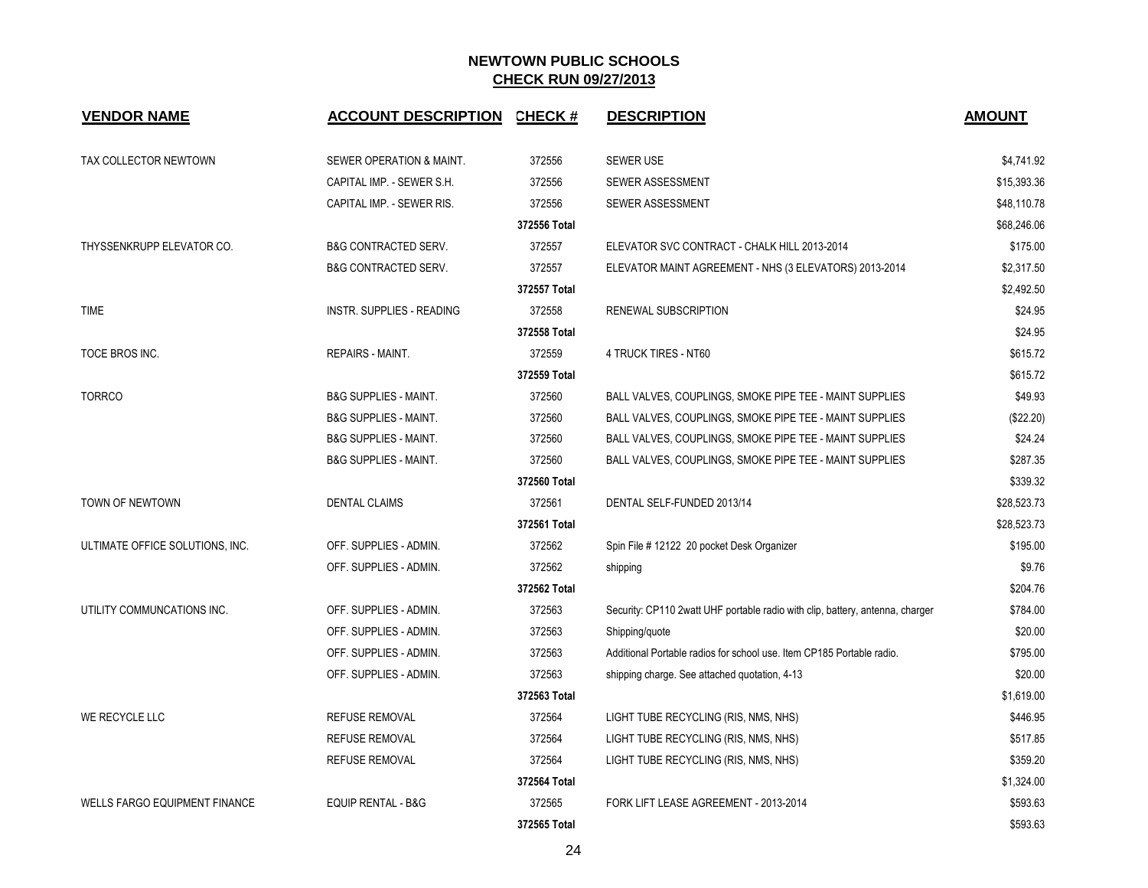| <b>VENDOR NAME</b>                   | ACCOUNT DESCRIPTION CHECK #      |              | <b>DESCRIPTION</b>                                                            | <b>AMOUNT</b> |
|--------------------------------------|----------------------------------|--------------|-------------------------------------------------------------------------------|---------------|
| TAX COLLECTOR NEWTOWN                | SEWER OPERATION & MAINT.         | 372556       | <b>SEWER USE</b>                                                              | \$4,741.92    |
|                                      | CAPITAL IMP. - SEWER S.H.        | 372556       | SEWER ASSESSMENT                                                              | \$15,393.36   |
|                                      | CAPITAL IMP. - SEWER RIS.        | 372556       | SEWER ASSESSMENT                                                              | \$48,110.78   |
|                                      |                                  | 372556 Total |                                                                               | \$68,246.06   |
| THYSSENKRUPP ELEVATOR CO.            | <b>B&amp;G CONTRACTED SERV.</b>  | 372557       | ELEVATOR SVC CONTRACT - CHALK HILL 2013-2014                                  | \$175.00      |
|                                      | <b>B&amp;G CONTRACTED SERV.</b>  | 372557       | ELEVATOR MAINT AGREEMENT - NHS (3 ELEVATORS) 2013-2014                        | \$2,317.50    |
|                                      |                                  | 372557 Total |                                                                               | \$2,492.50    |
| <b>TIME</b>                          | <b>INSTR. SUPPLIES - READING</b> | 372558       | RENEWAL SUBSCRIPTION                                                          | \$24.95       |
|                                      |                                  | 372558 Total |                                                                               | \$24.95       |
| TOCE BROS INC.                       | REPAIRS - MAINT.                 | 372559       | 4 TRUCK TIRES - NT60                                                          | \$615.72      |
|                                      |                                  | 372559 Total |                                                                               | \$615.72      |
| <b>TORRCO</b>                        | <b>B&amp;G SUPPLIES - MAINT.</b> | 372560       | BALL VALVES, COUPLINGS, SMOKE PIPE TEE - MAINT SUPPLIES                       | \$49.93       |
|                                      | <b>B&amp;G SUPPLIES - MAINT.</b> | 372560       | BALL VALVES, COUPLINGS, SMOKE PIPE TEE - MAINT SUPPLIES                       | (\$22.20)     |
|                                      | <b>B&amp;G SUPPLIES - MAINT.</b> | 372560       | BALL VALVES, COUPLINGS, SMOKE PIPE TEE - MAINT SUPPLIES                       | \$24.24       |
|                                      | <b>B&amp;G SUPPLIES - MAINT.</b> | 372560       | BALL VALVES, COUPLINGS, SMOKE PIPE TEE - MAINT SUPPLIES                       | \$287.35      |
|                                      |                                  | 372560 Total |                                                                               | \$339.32      |
| TOWN OF NEWTOWN                      | <b>DENTAL CLAIMS</b>             | 372561       | DENTAL SELF-FUNDED 2013/14                                                    | \$28,523.73   |
|                                      |                                  | 372561 Total |                                                                               | \$28,523.73   |
| ULTIMATE OFFICE SOLUTIONS, INC.      | OFF. SUPPLIES - ADMIN.           | 372562       | Spin File # 12122 20 pocket Desk Organizer                                    | \$195.00      |
|                                      | OFF. SUPPLIES - ADMIN.           | 372562       | shipping                                                                      | \$9.76        |
|                                      |                                  | 372562 Total |                                                                               | \$204.76      |
| UTILITY COMMUNCATIONS INC.           | OFF. SUPPLIES - ADMIN.           | 372563       | Security: CP110 2watt UHF portable radio with clip, battery, antenna, charger | \$784.00      |
|                                      | OFF. SUPPLIES - ADMIN.           | 372563       | Shipping/quote                                                                | \$20.00       |
|                                      | OFF. SUPPLIES - ADMIN.           | 372563       | Additional Portable radios for school use. Item CP185 Portable radio.         | \$795.00      |
|                                      | OFF. SUPPLIES - ADMIN.           | 372563       | shipping charge. See attached quotation, 4-13                                 | \$20.00       |
|                                      |                                  | 372563 Total |                                                                               | \$1,619.00    |
| WE RECYCLE LLC                       | <b>REFUSE REMOVAL</b>            | 372564       | LIGHT TUBE RECYCLING (RIS, NMS, NHS)                                          | \$446.95      |
|                                      | <b>REFUSE REMOVAL</b>            | 372564       | LIGHT TUBE RECYCLING (RIS, NMS, NHS)                                          | \$517.85      |
|                                      | <b>REFUSE REMOVAL</b>            | 372564       | LIGHT TUBE RECYCLING (RIS, NMS, NHS)                                          | \$359.20      |
|                                      |                                  | 372564 Total |                                                                               | \$1,324.00    |
| <b>WELLS FARGO EQUIPMENT FINANCE</b> | EQUIP RENTAL - B&G               | 372565       | FORK LIFT LEASE AGREEMENT - 2013-2014                                         | \$593.63      |
|                                      |                                  | 372565 Total |                                                                               | \$593.63      |